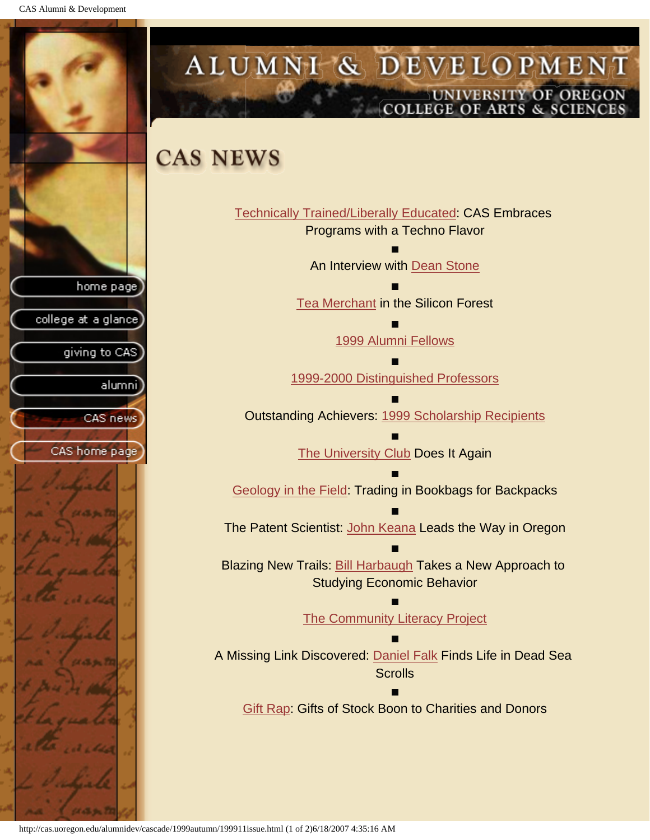CAS Alumni & Development



# ALUMNI & DEVELOPMENT UNIVERSITY OF OREGON<br>COLLEGE OF ARTS & SCIENCES

## **CAS NEWS**

| Technically Trained/Liberally Educated: CAS Embraces          |
|---------------------------------------------------------------|
| Programs with a Techno Flavor                                 |
|                                                               |
| An Interview with Dean Stone                                  |
|                                                               |
| Tea Merchant in the Silicon Forest                            |
|                                                               |
| 1999 Alumni Fellows                                           |
|                                                               |
|                                                               |
| 1999-2000 Distinguished Professors                            |
|                                                               |
| <b>Outstanding Achievers: 1999 Scholarship Recipients</b>     |
|                                                               |
| The University Club Does It Again                             |
|                                                               |
| Geology in the Field: Trading in Bookbags for Backpacks       |
|                                                               |
|                                                               |
| The Patent Scientist: John Keana Leads the Way in Oregon      |
|                                                               |
| Blazing New Trails: Bill Harbaugh Takes a New Approach to     |
| <b>Studying Economic Behavior</b>                             |
|                                                               |
| <b>The Community Literacy Project</b>                         |
|                                                               |
| A Missing Link Discovered: Daniel Falk Finds Life in Dead Sea |
|                                                               |
| <b>Scrolls</b>                                                |
|                                                               |
| Gift Rap: Gifts of Stock Boon to Charities and Donors         |
|                                                               |

http://cas.uoregon.edu/alumnidev/cascade/1999autumn/199911issue.html (1 of 2)6/18/2007 4:35:16 AM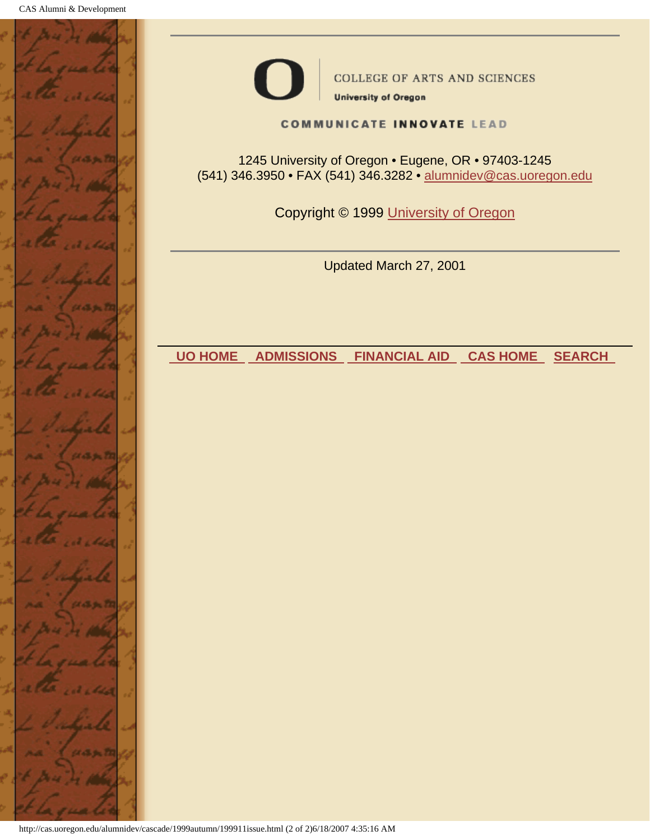



**COLLEGE OF ARTS AND SCIENCES** 

**University of Oregon** 

**COMMUNICATE INNOVATE LEAD** 

1245 University of Oregon • Eugene, OR • 97403-1245 (541) 346.3950 • FAX (541) 346.3282 • alumnidev@cas.uoregon.edu

Copyright © 1999 University of Oregon

Updated March 27, 2001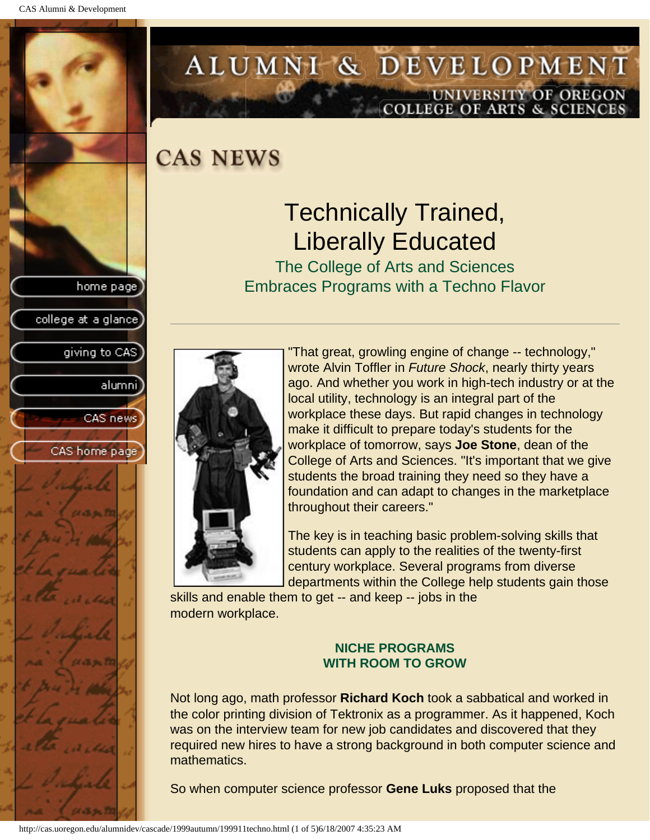<span id="page-2-0"></span>

# ALUMNI & DEVELOPMENT UNIVERSITY OF OREGON<br>COLLEGE OF ARTS & SCIENCES

**CAS NEWS** 

# Technically Trained, Liberally Educated

The College of Arts and Sciences Embraces Programs with a Techno Flavor



"That great, growling engine of change -- technology," wrote Alvin Toffler in *Future Shock*, nearly thirty years ago. And whether you work in high-tech industry or at the local utility, technology is an integral part of the workplace these days. But rapid changes in technology make it difficult to prepare today's students for the workplace of tomorrow, says **Joe Stone**, dean of the College of Arts and Sciences. "It's important that we give students the broad training they need so they have a foundation and can adapt to changes in the marketplace throughout their careers."

The key is in teaching basic problem-solving skills that students can apply to the realities of the twenty-first century workplace. Several programs from diverse departments within the College help students gain those

skills and enable them to get -- and keep -- jobs in the modern workplace.

### **NICHE PROGRAMS WITH ROOM TO GROW**

Not long ago, math professor **Richard Koch** took a sabbatical and worked in the color printing division of Tektronix as a programmer. As it happened, Koch was on the interview team for new job candidates and discovered that they required new hires to have a strong background in both computer science and mathematics.

So when computer science professor **Gene Luks** proposed that the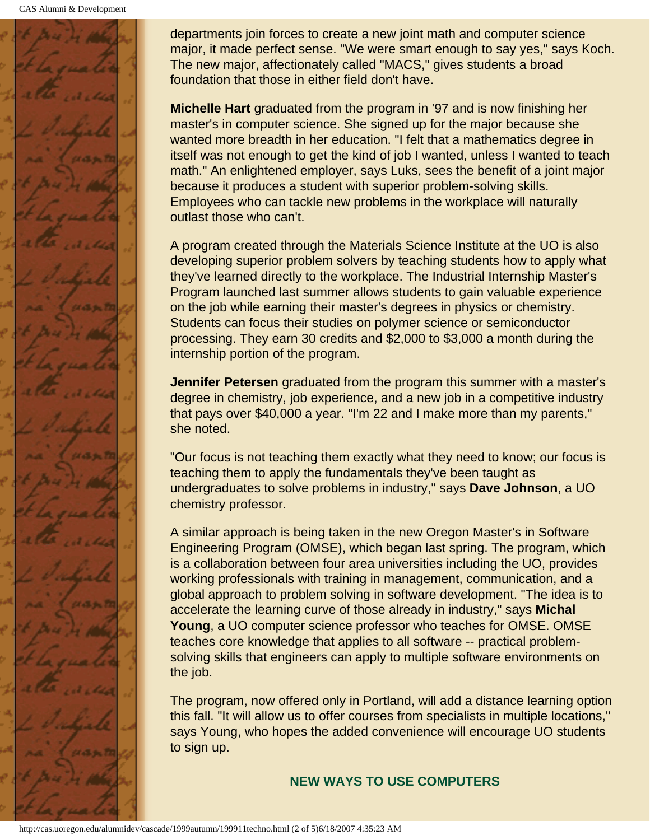CAS Alumni & Development



departments join forces to create a new joint math and computer science major, it made perfect sense. "We were smart enough to say yes," says Koch. The new major, affectionately called "MACS," gives students a broad foundation that those in either field don't have.

**Michelle Hart** graduated from the program in '97 and is now finishing her master's in computer science. She signed up for the major because she wanted more breadth in her education. "I felt that a mathematics degree in itself was not enough to get the kind of job I wanted, unless I wanted to teach math." An enlightened employer, says Luks, sees the benefit of a joint major because it produces a student with superior problem-solving skills. Employees who can tackle new problems in the workplace will naturally outlast those who can't.

A program created through the Materials Science Institute at the UO is also developing superior problem solvers by teaching students how to apply what they've learned directly to the workplace. The Industrial Internship Master's Program launched last summer allows students to gain valuable experience on the job while earning their master's degrees in physics or chemistry. Students can focus their studies on polymer science or semiconductor processing. They earn 30 credits and \$2,000 to \$3,000 a month during the internship portion of the program.

**Jennifer Petersen** graduated from the program this summer with a master's degree in chemistry, job experience, and a new job in a competitive industry that pays over \$40,000 a year. "I'm 22 and I make more than my parents," she noted.

"Our focus is not teaching them exactly what they need to know; our focus is teaching them to apply the fundamentals they've been taught as undergraduates to solve problems in industry," says **Dave Johnson**, a UO chemistry professor.

A similar approach is being taken in the new Oregon Master's in Software Engineering Program (OMSE), which began last spring. The program, which is a collaboration between four area universities including the UO, provides working professionals with training in management, communication, and a global approach to problem solving in software development. "The idea is to accelerate the learning curve of those already in industry," says **Michal Young**, a UO computer science professor who teaches for OMSE. OMSE teaches core knowledge that applies to all software -- practical problemsolving skills that engineers can apply to multiple software environments on the job.

The program, now offered only in Portland, will add a distance learning option this fall. "It will allow us to offer courses from specialists in multiple locations," says Young, who hopes the added convenience will encourage UO students to sign up.

**NEW WAYS TO USE COMPUTERS**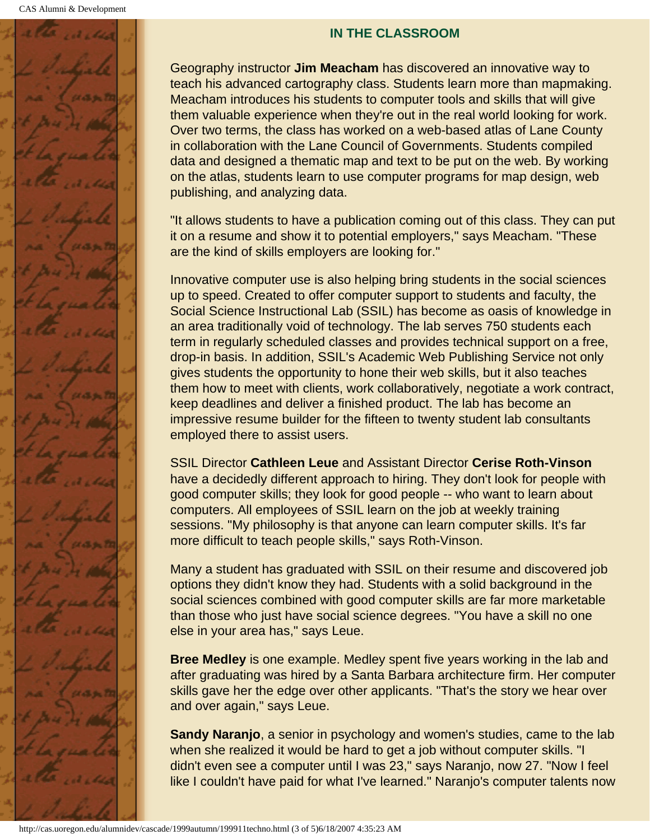

#### **IN THE CLASSROOM**

Geography instructor **Jim Meacham** has discovered an innovative way to teach his advanced cartography class. Students learn more than mapmaking. Meacham introduces his students to computer tools and skills that will give them valuable experience when they're out in the real world looking for work. Over two terms, the class has worked on a web-based atlas of Lane County in collaboration with the Lane Council of Governments. Students compiled data and designed a thematic map and text to be put on the web. By working on the atlas, students learn to use computer programs for map design, web publishing, and analyzing data.

"It allows students to have a publication coming out of this class. They can put it on a resume and show it to potential employers," says Meacham. "These are the kind of skills employers are looking for."

Innovative computer use is also helping bring students in the social sciences up to speed. Created to offer computer support to students and faculty, the Social Science Instructional Lab (SSIL) has become as oasis of knowledge in an area traditionally void of technology. The lab serves 750 students each term in regularly scheduled classes and provides technical support on a free, drop-in basis. In addition, SSIL's Academic Web Publishing Service not only gives students the opportunity to hone their web skills, but it also teaches them how to meet with clients, work collaboratively, negotiate a work contract, keep deadlines and deliver a finished product. The lab has become an impressive resume builder for the fifteen to twenty student lab consultants employed there to assist users.

SSIL Director **Cathleen Leue** and Assistant Director **Cerise Roth-Vinson** have a decidedly different approach to hiring. They don't look for people with good computer skills; they look for good people -- who want to learn about computers. All employees of SSIL learn on the job at weekly training sessions. "My philosophy is that anyone can learn computer skills. It's far more difficult to teach people skills," says Roth-Vinson.

Many a student has graduated with SSIL on their resume and discovered job options they didn't know they had. Students with a solid background in the social sciences combined with good computer skills are far more marketable than those who just have social science degrees. "You have a skill no one else in your area has," says Leue.

**Bree Medley** is one example. Medley spent five years working in the lab and after graduating was hired by a Santa Barbara architecture firm. Her computer skills gave her the edge over other applicants. "That's the story we hear over and over again," says Leue.

**Sandy Naranjo**, a senior in psychology and women's studies, came to the lab when she realized it would be hard to get a job without computer skills. "I didn't even see a computer until I was 23," says Naranjo, now 27. "Now I feel like I couldn't have paid for what I've learned." Naranjo's computer talents now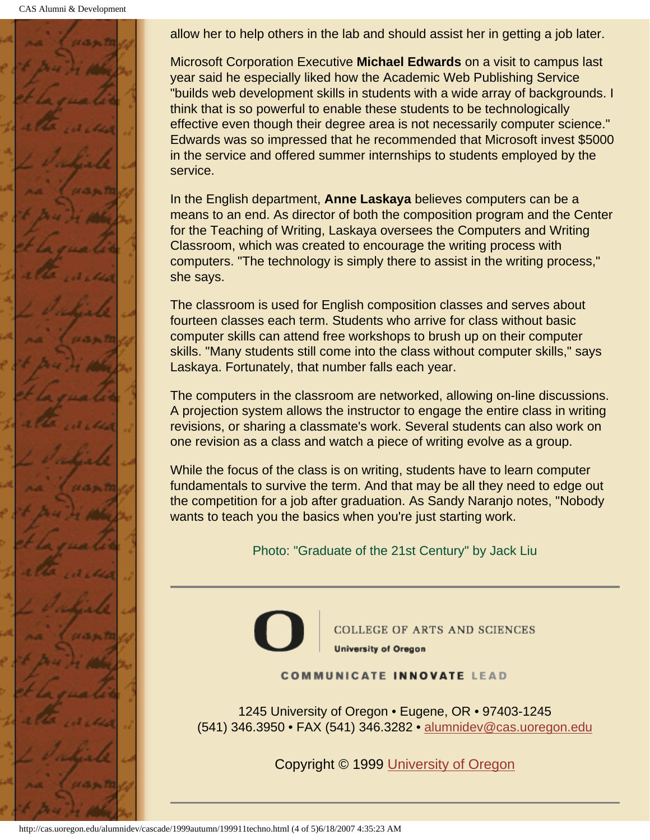CAS Alumni & Development



allow her to help others in the lab and should assist her in getting a job later.

Microsoft Corporation Executive **Michael Edwards** on a visit to campus last year said he especially liked how the Academic Web Publishing Service "builds web development skills in students with a wide array of backgrounds. I think that is so powerful to enable these students to be technologically effective even though their degree area is not necessarily computer science." Edwards was so impressed that he recommended that Microsoft invest \$5000 in the service and offered summer internships to students employed by the service.

In the English department, **Anne Laskaya** believes computers can be a means to an end. As director of both the composition program and the Center for the Teaching of Writing, Laskaya oversees the Computers and Writing Classroom, which was created to encourage the writing process with computers. "The technology is simply there to assist in the writing process," she says.

The classroom is used for English composition classes and serves about fourteen classes each term. Students who arrive for class without basic computer skills can attend free workshops to brush up on their computer skills. "Many students still come into the class without computer skills," says Laskaya. Fortunately, that number falls each year.

The computers in the classroom are networked, allowing on-line discussions. A projection system allows the instructor to engage the entire class in writing revisions, or sharing a classmate's work. Several students can also work on one revision as a class and watch a piece of writing evolve as a group.

While the focus of the class is on writing, students have to learn computer fundamentals to survive the term. And that may be all they need to edge out the competition for a job after graduation. As Sandy Naranjo notes, "Nobody wants to teach you the basics when you're just starting work.

Photo: "Graduate of the 21st Century" by Jack Liu



**COLLEGE OF ARTS AND SCIENCES University of Oregon** 

#### **COMMUNICATE INNOVATE LEAD**

1245 University of Oregon • Eugene, OR • 97403-1245 (541) 346.3950 • FAX (541) 346.3282 • alumnidev@cas.uoregon.edu

Copyright © 1999 University of Oregon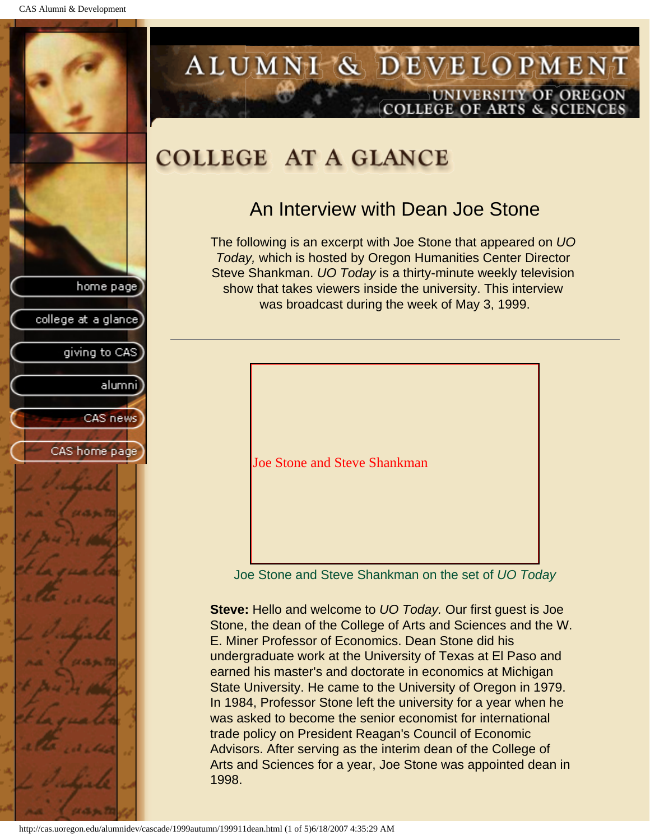<span id="page-6-0"></span>

## ALUMNI & DEVELOPMENT UNIVERSITY OF OREGON **COLLEGE OF ARTS & SCIENCES**

# **COLLEGE AT A GLANCE**

## An Interview with Dean Joe Stone

The following is an excerpt with Joe Stone that appeared on *UO Today,* which is hosted by Oregon Humanities Center Director Steve Shankman. *UO Today* is a thirty-minute weekly television show that takes viewers inside the university. This interview was broadcast during the week of May 3, 1999.



Joe Stone and Steve Shankman on the set of *UO Today*

**Steve:** Hello and welcome to *UO Today.* Our first guest is Joe Stone, the dean of the College of Arts and Sciences and the W. E. Miner Professor of Economics. Dean Stone did his undergraduate work at the University of Texas at El Paso and earned his master's and doctorate in economics at Michigan State University. He came to the University of Oregon in 1979. In 1984, Professor Stone left the university for a year when he was asked to become the senior economist for international trade policy on President Reagan's Council of Economic Advisors. After serving as the interim dean of the College of Arts and Sciences for a year, Joe Stone was appointed dean in 1998.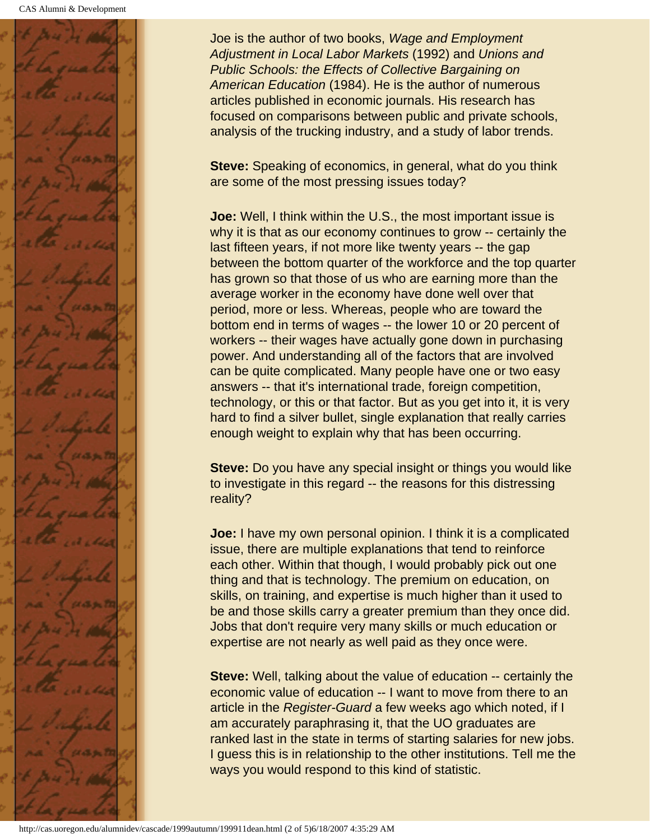

Joe is the author of two books, *Wage and Employment Adjustment in Local Labor Markets* (1992) and *Unions and Public Schools: the Effects of Collective Bargaining on American Education* (1984). He is the author of numerous articles published in economic journals. His research has focused on comparisons between public and private schools, analysis of the trucking industry, and a study of labor trends.

**Steve:** Speaking of economics, in general, what do you think are some of the most pressing issues today?

**Joe:** Well, I think within the U.S., the most important issue is why it is that as our economy continues to grow -- certainly the last fifteen years, if not more like twenty years -- the gap between the bottom quarter of the workforce and the top quarter has grown so that those of us who are earning more than the average worker in the economy have done well over that period, more or less. Whereas, people who are toward the bottom end in terms of wages -- the lower 10 or 20 percent of workers -- their wages have actually gone down in purchasing power. And understanding all of the factors that are involved can be quite complicated. Many people have one or two easy answers -- that it's international trade, foreign competition, technology, or this or that factor. But as you get into it, it is very hard to find a silver bullet, single explanation that really carries enough weight to explain why that has been occurring.

**Steve:** Do you have any special insight or things you would like to investigate in this regard -- the reasons for this distressing reality?

**Joe:** I have my own personal opinion. I think it is a complicated issue, there are multiple explanations that tend to reinforce each other. Within that though, I would probably pick out one thing and that is technology. The premium on education, on skills, on training, and expertise is much higher than it used to be and those skills carry a greater premium than they once did. Jobs that don't require very many skills or much education or expertise are not nearly as well paid as they once were.

**Steve:** Well, talking about the value of education -- certainly the economic value of education -- I want to move from there to an article in the *Register-Guard* a few weeks ago which noted, if I am accurately paraphrasing it, that the UO graduates are ranked last in the state in terms of starting salaries for new jobs. I guess this is in relationship to the other institutions. Tell me the ways you would respond to this kind of statistic.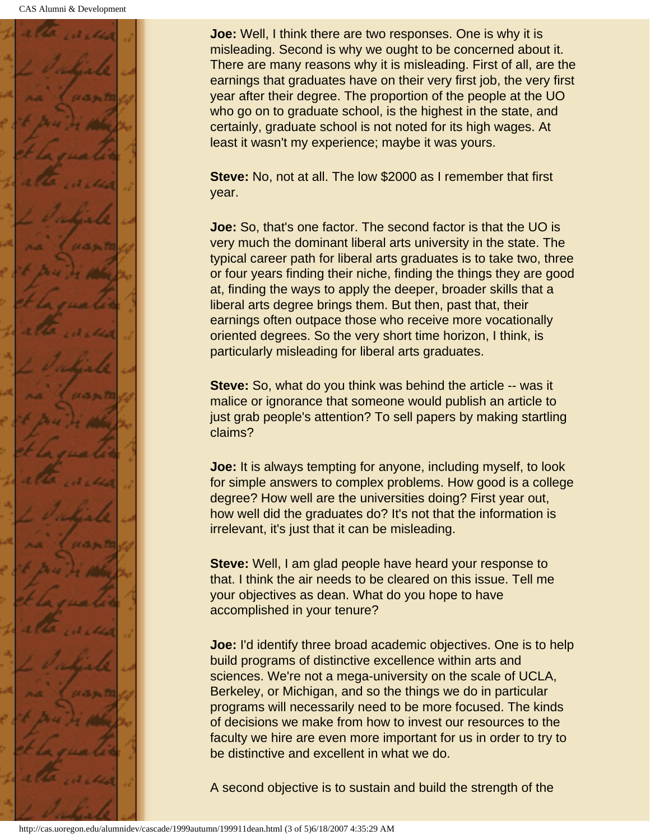

**Joe:** Well, I think there are two responses. One is why it is misleading. Second is why we ought to be concerned about it. There are many reasons why it is misleading. First of all, are the earnings that graduates have on their very first job, the very first year after their degree. The proportion of the people at the UO who go on to graduate school, is the highest in the state, and certainly, graduate school is not noted for its high wages. At least it wasn't my experience; maybe it was yours.

**Steve:** No, not at all. The low \$2000 as I remember that first year.

**Joe:** So, that's one factor. The second factor is that the UO is very much the dominant liberal arts university in the state. The typical career path for liberal arts graduates is to take two, three or four years finding their niche, finding the things they are good at, finding the ways to apply the deeper, broader skills that a liberal arts degree brings them. But then, past that, their earnings often outpace those who receive more vocationally oriented degrees. So the very short time horizon, I think, is particularly misleading for liberal arts graduates.

**Steve:** So, what do you think was behind the article -- was it malice or ignorance that someone would publish an article to just grab people's attention? To sell papers by making startling claims?

**Joe:** It is always tempting for anyone, including myself, to look for simple answers to complex problems. How good is a college degree? How well are the universities doing? First year out, how well did the graduates do? It's not that the information is irrelevant, it's just that it can be misleading.

**Steve:** Well, I am glad people have heard your response to that. I think the air needs to be cleared on this issue. Tell me your objectives as dean. What do you hope to have accomplished in your tenure?

**Joe:** I'd identify three broad academic objectives. One is to help build programs of distinctive excellence within arts and sciences. We're not a mega-university on the scale of UCLA, Berkeley, or Michigan, and so the things we do in particular programs will necessarily need to be more focused. The kinds of decisions we make from how to invest our resources to the faculty we hire are even more important for us in order to try to be distinctive and excellent in what we do.

A second objective is to sustain and build the strength of the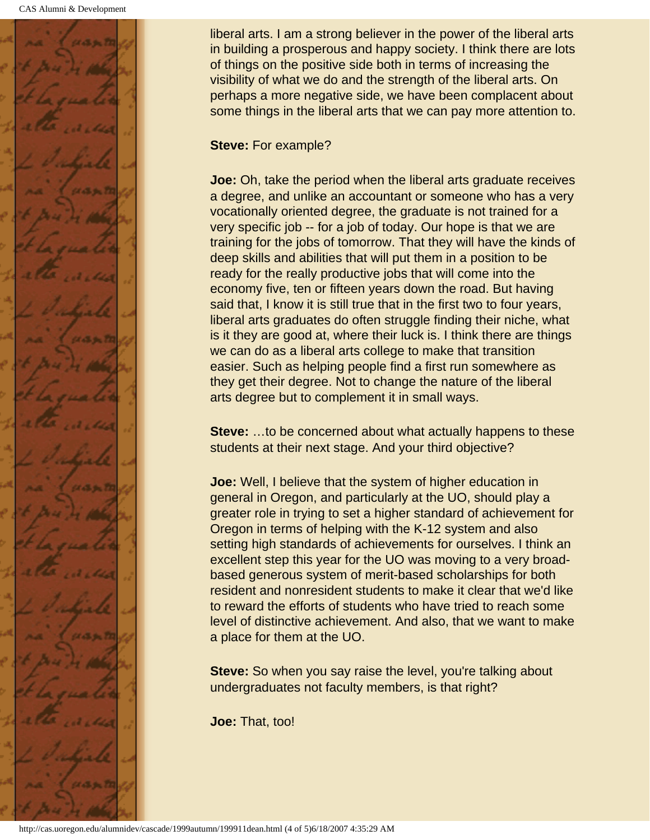

liberal arts. I am a strong believer in the power of the liberal arts in building a prosperous and happy society. I think there are lots of things on the positive side both in terms of increasing the visibility of what we do and the strength of the liberal arts. On perhaps a more negative side, we have been complacent about some things in the liberal arts that we can pay more attention to.

### **Steve:** For example?

**Joe:** Oh, take the period when the liberal arts graduate receives a degree, and unlike an accountant or someone who has a very vocationally oriented degree, the graduate is not trained for a very specific job -- for a job of today. Our hope is that we are training for the jobs of tomorrow. That they will have the kinds of deep skills and abilities that will put them in a position to be ready for the really productive jobs that will come into the economy five, ten or fifteen years down the road. But having said that, I know it is still true that in the first two to four years, liberal arts graduates do often struggle finding their niche, what is it they are good at, where their luck is. I think there are things we can do as a liberal arts college to make that transition easier. Such as helping people find a first run somewhere as they get their degree. Not to change the nature of the liberal arts degree but to complement it in small ways.

**Steve:** …to be concerned about what actually happens to these students at their next stage. And your third objective?

**Joe:** Well, I believe that the system of higher education in general in Oregon, and particularly at the UO, should play a greater role in trying to set a higher standard of achievement for Oregon in terms of helping with the K-12 system and also setting high standards of achievements for ourselves. I think an excellent step this year for the UO was moving to a very broadbased generous system of merit-based scholarships for both resident and nonresident students to make it clear that we'd like to reward the efforts of students who have tried to reach some level of distinctive achievement. And also, that we want to make a place for them at the UO.

**Steve:** So when you say raise the level, you're talking about undergraduates not faculty members, is that right?

**Joe:** That, too!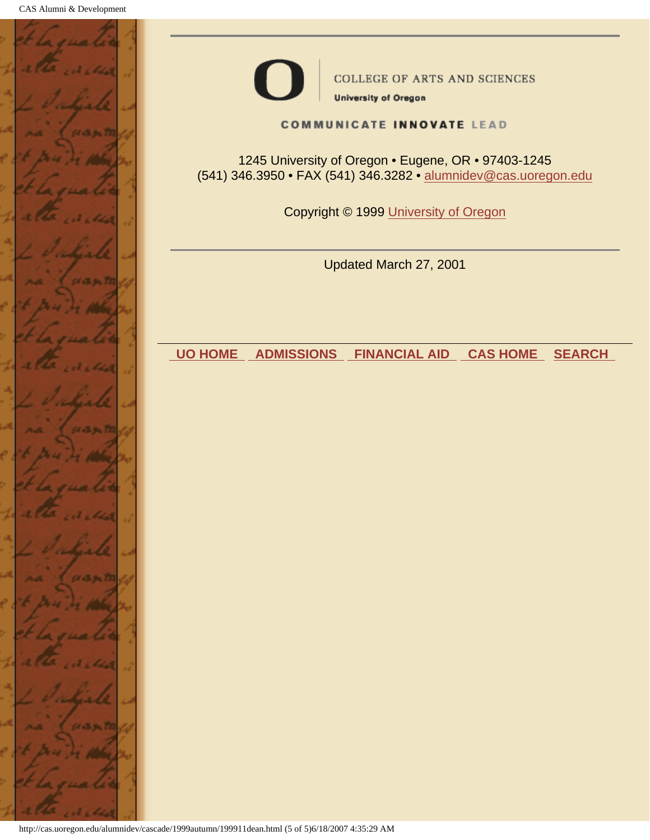



**COLLEGE OF ARTS AND SCIENCES** 

**University of Oregon** 

**COMMUNICATE INNOVATE LEAD** 

1245 University of Oregon • Eugene, OR • 97403-1245 (541) 346.3950 • FAX (541) 346.3282 • alumnidev@cas.uoregon.edu

Copyright © 1999 University of Oregon

Updated March 27, 2001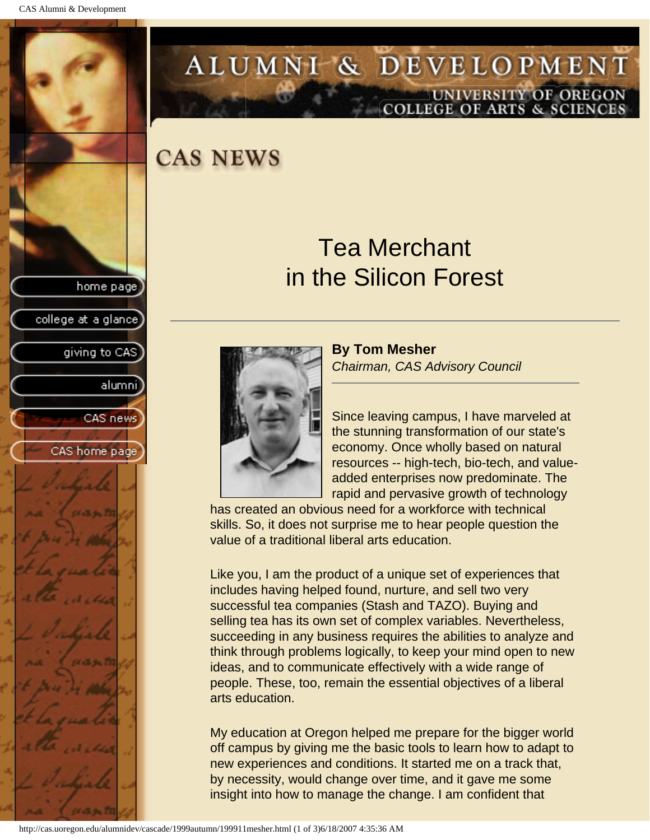<span id="page-11-0"></span>

# ALUMNI & DEVELOPMENT UNIVERSITY OF OREGON<br>COLLEGE OF ARTS & SCIENCES

## **CAS NEWS**

# Tea Merchant in the Silicon Forest



**By Tom Mesher** *Chairman, CAS Advisory Council*

Since leaving campus, I have marveled at the stunning transformation of our state's economy. Once wholly based on natural resources -- high-tech, bio-tech, and valueadded enterprises now predominate. The rapid and pervasive growth of technology

has created an obvious need for a workforce with technical skills. So, it does not surprise me to hear people question the value of a traditional liberal arts education.

Like you, I am the product of a unique set of experiences that includes having helped found, nurture, and sell two very successful tea companies (Stash and TAZO). Buying and selling tea has its own set of complex variables. Nevertheless, succeeding in any business requires the abilities to analyze and think through problems logically, to keep your mind open to new ideas, and to communicate effectively with a wide range of people. These, too, remain the essential objectives of a liberal arts education.

My education at Oregon helped me prepare for the bigger world off campus by giving me the basic tools to learn how to adapt to new experiences and conditions. It started me on a track that, by necessity, would change over time, and it gave me some insight into how to manage the change. I am confident that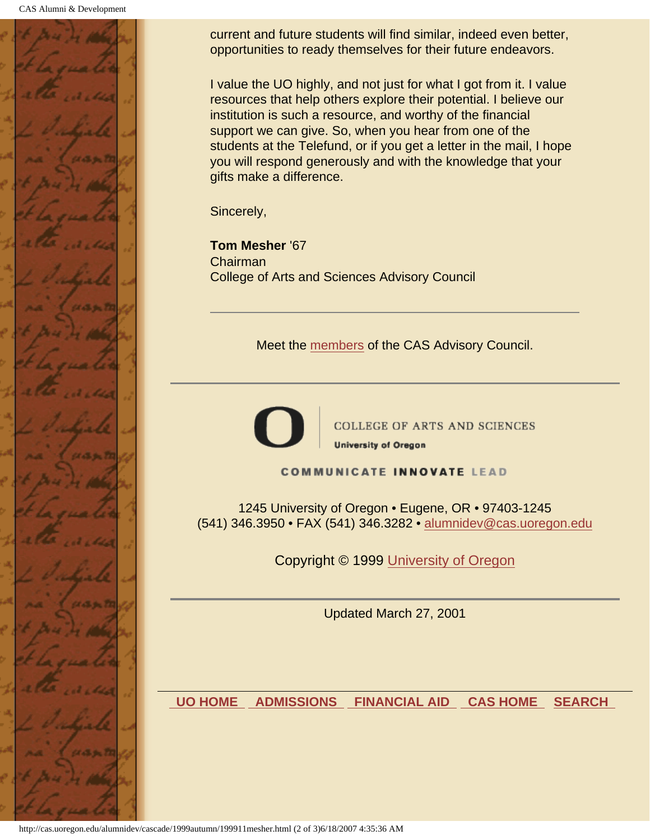

current and future students will find similar, indeed even better, opportunities to ready themselves for their future endeavors.

I value the UO highly, and not just for what I got from it. I value resources that help others explore their potential. I believe our institution is such a resource, and worthy of the financial support we can give. So, when you hear from one of the students at the Telefund, or if you get a letter in the mail, I hope you will respond generously and with the knowledge that your gifts make a difference.

Sincerely,

**Tom Mesher** '67 Chairman College of Arts and Sciences Advisory Council

Meet the members of the CAS Advisory Council.



**COLLEGE OF ARTS AND SCIENCES University of Oregon** 

**COMMUNICATE INNOVATE LEAD** 

1245 University of Oregon • Eugene, OR • 97403-1245 (541) 346.3950 • FAX (541) 346.3282 • alumnidev@cas.uoregon.edu

Copyright © 1999 University of Oregon

Updated March 27, 2001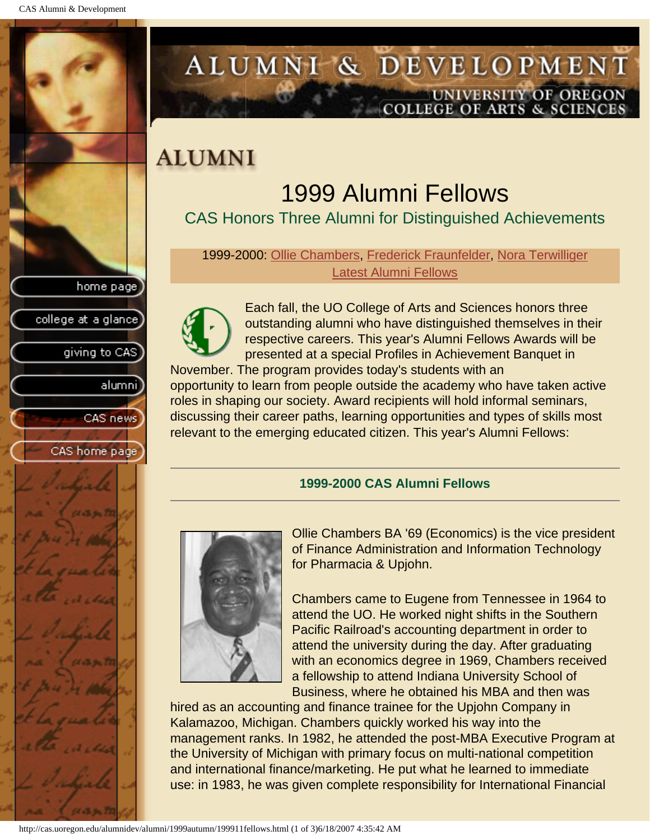<span id="page-13-0"></span>

# ALUMNI & DEVELOPMENT UNIVERSITY OF OREGON<br>COLLEGE OF ARTS & SCIENCES

# **ALUMNI**

# 1999 Alumni Fellows

CAS Honors Three Alumni for Distinguished Achievements

1999-2000: [Ollie Chambers](#page-13-1), [Frederick Fraunfelder,](#page-14-0) [Nora Terwilliger](#page-14-1) Latest Alumni Fellows



Each fall, the UO College of Arts and Sciences honors three outstanding alumni who have distinguished themselves in their respective careers. This year's Alumni Fellows Awards will be presented at a special Profiles in Achievement Banquet in

November. The program provides today's students with an opportunity to learn from people outside the academy who have taken active roles in shaping our society. Award recipients will hold informal seminars, discussing their career paths, learning opportunities and types of skills most relevant to the emerging educated citizen. This year's Alumni Fellows:

### **1999-2000 CAS Alumni Fellows**

<span id="page-13-1"></span>

Ollie Chambers BA '69 (Economics) is the vice president of Finance Administration and Information Technology for Pharmacia & Upjohn.

Chambers came to Eugene from Tennessee in 1964 to attend the UO. He worked night shifts in the Southern Pacific Railroad's accounting department in order to attend the university during the day. After graduating with an economics degree in 1969, Chambers received a fellowship to attend Indiana University School of Business, where he obtained his MBA and then was

hired as an accounting and finance trainee for the Upjohn Company in Kalamazoo, Michigan. Chambers quickly worked his way into the management ranks. In 1982, he attended the post-MBA Executive Program at the University of Michigan with primary focus on multi-national competition and international finance/marketing. He put what he learned to immediate use: in 1983, he was given complete responsibility for International Financial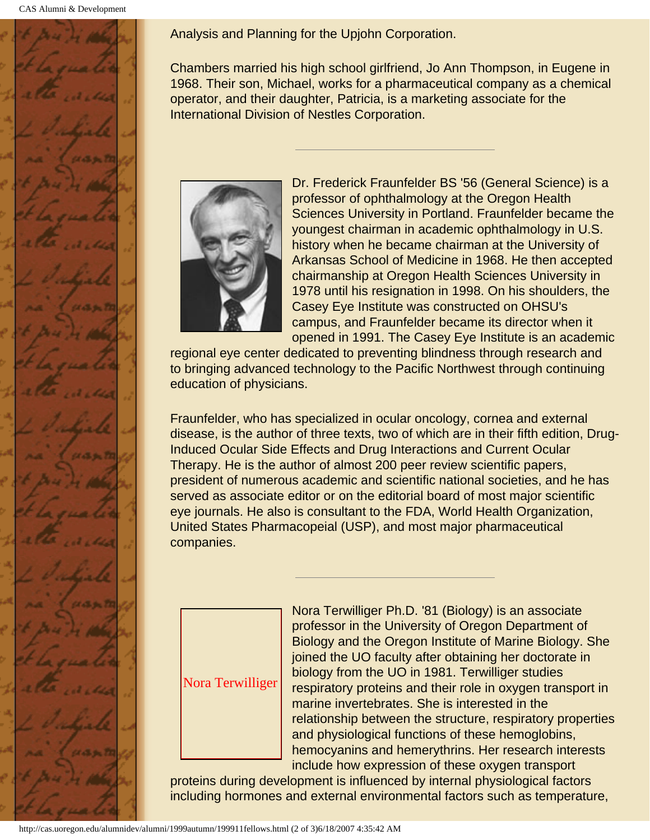<span id="page-14-0"></span>

Analysis and Planning for the Upjohn Corporation.

Chambers married his high school girlfriend, Jo Ann Thompson, in Eugene in 1968. Their son, Michael, works for a pharmaceutical company as a chemical operator, and their daughter, Patricia, is a marketing associate for the International Division of Nestles Corporation.



Dr. Frederick Fraunfelder BS '56 (General Science) is a professor of ophthalmology at the Oregon Health Sciences University in Portland. Fraunfelder became the youngest chairman in academic ophthalmology in U.S. history when he became chairman at the University of Arkansas School of Medicine in 1968. He then accepted chairmanship at Oregon Health Sciences University in 1978 until his resignation in 1998. On his shoulders, the Casey Eye Institute was constructed on OHSU's campus, and Fraunfelder became its director when it opened in 1991. The Casey Eye Institute is an academic

regional eye center dedicated to preventing blindness through research and to bringing advanced technology to the Pacific Northwest through continuing education of physicians.

Fraunfelder, who has specialized in ocular oncology, cornea and external disease, is the author of three texts, two of which are in their fifth edition, Drug-Induced Ocular Side Effects and Drug Interactions and Current Ocular Therapy. He is the author of almost 200 peer review scientific papers, president of numerous academic and scientific national societies, and he has served as associate editor or on the editorial board of most major scientific eye journals. He also is consultant to the FDA, World Health Organization, United States Pharmacopeial (USP), and most major pharmaceutical companies.

<span id="page-14-1"></span>

Nora Terwilliger Ph.D. '81 (Biology) is an associate professor in the University of Oregon Department of Biology and the Oregon Institute of Marine Biology. She joined the UO faculty after obtaining her doctorate in biology from the UO in 1981. Terwilliger studies respiratory proteins and their role in oxygen transport in marine invertebrates. She is interested in the relationship between the structure, respiratory properties and physiological functions of these hemoglobins, hemocyanins and hemerythrins. Her research interests include how expression of these oxygen transport

proteins during development is influenced by internal physiological factors including hormones and external environmental factors such as temperature,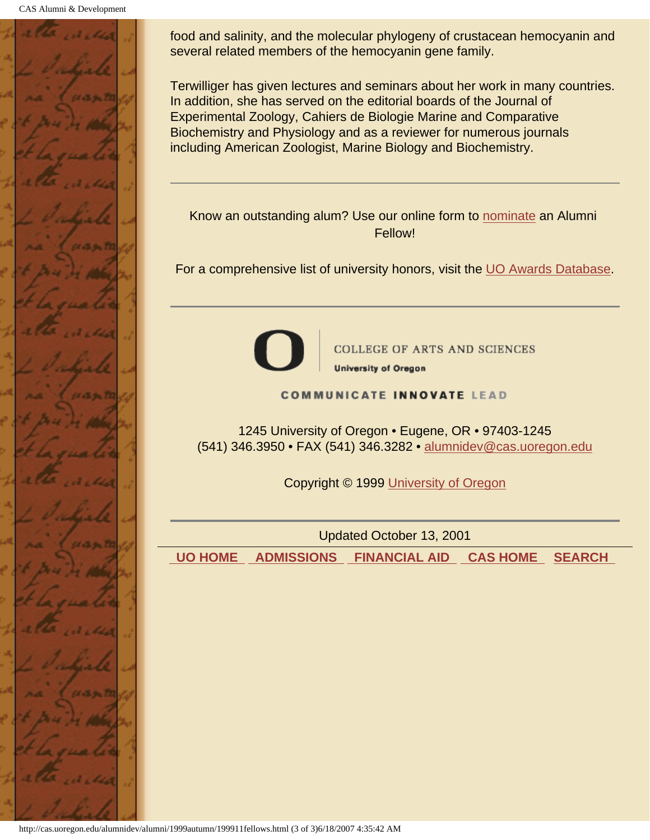

food and salinity, and the molecular phylogeny of crustacean hemocyanin and several related members of the hemocyanin gene family.

Terwilliger has given lectures and seminars about her work in many countries. In addition, she has served on the editorial boards of the Journal of Experimental Zoology, Cahiers de Biologie Marine and Comparative Biochemistry and Physiology and as a reviewer for numerous journals including American Zoologist, Marine Biology and Biochemistry.

Know an outstanding alum? Use our online form to nominate an Alumni Fellow!

For a comprehensive list of university honors, visit the UO Awards Database.



**COLLEGE OF ARTS AND SCIENCES University of Oregon** 

**COMMUNICATE INNOVATE LEAD** 

1245 University of Oregon • Eugene, OR • 97403-1245 (541) 346.3950 • FAX (541) 346.3282 • alumnidev@cas.uoregon.edu

Copyright © 1999 University of Oregon

Updated October 13, 2001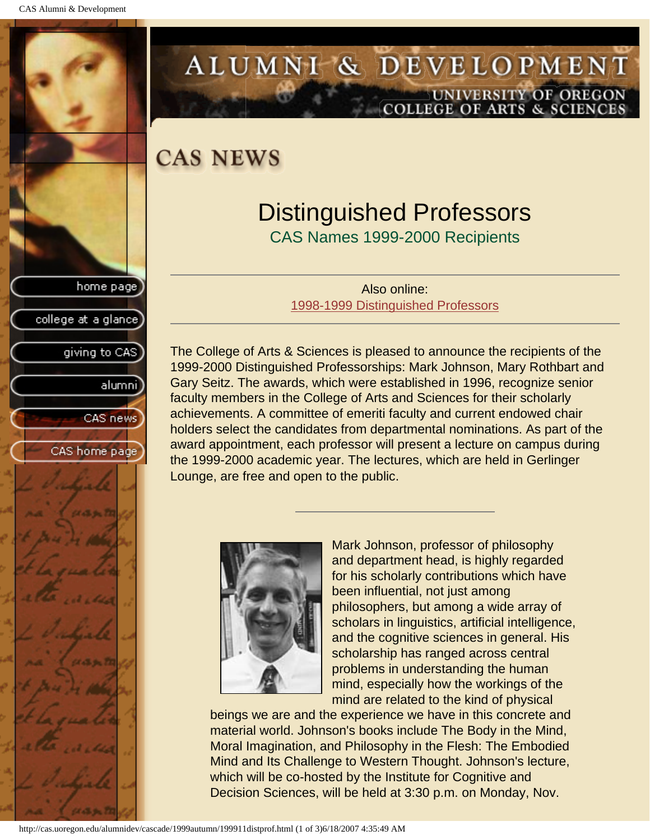<span id="page-16-0"></span>

# ALUMNI & DEVELOPMENT UNIVERSITY OF OREGON<br>COLLEGE OF ARTS & SCIENCES

**CAS NEWS** 

# Distinguished Professors

CAS Names 1999-2000 Recipients

Also online: 1998-1999 Distinguished Professors

The College of Arts & Sciences is pleased to announce the recipients of the 1999-2000 Distinguished Professorships: Mark Johnson, Mary Rothbart and Gary Seitz. The awards, which were established in 1996, recognize senior faculty members in the College of Arts and Sciences for their scholarly achievements. A committee of emeriti faculty and current endowed chair holders select the candidates from departmental nominations. As part of the award appointment, each professor will present a lecture on campus during the 1999-2000 academic year. The lectures, which are held in Gerlinger Lounge, are free and open to the public.



Mark Johnson, professor of philosophy and department head, is highly regarded for his scholarly contributions which have been influential, not just among philosophers, but among a wide array of scholars in linguistics, artificial intelligence, and the cognitive sciences in general. His scholarship has ranged across central problems in understanding the human mind, especially how the workings of the mind are related to the kind of physical

beings we are and the experience we have in this concrete and material world. Johnson's books include The Body in the Mind, Moral Imagination, and Philosophy in the Flesh: The Embodied Mind and Its Challenge to Western Thought. Johnson's lecture, which will be co-hosted by the Institute for Cognitive and Decision Sciences, will be held at 3:30 p.m. on Monday, Nov.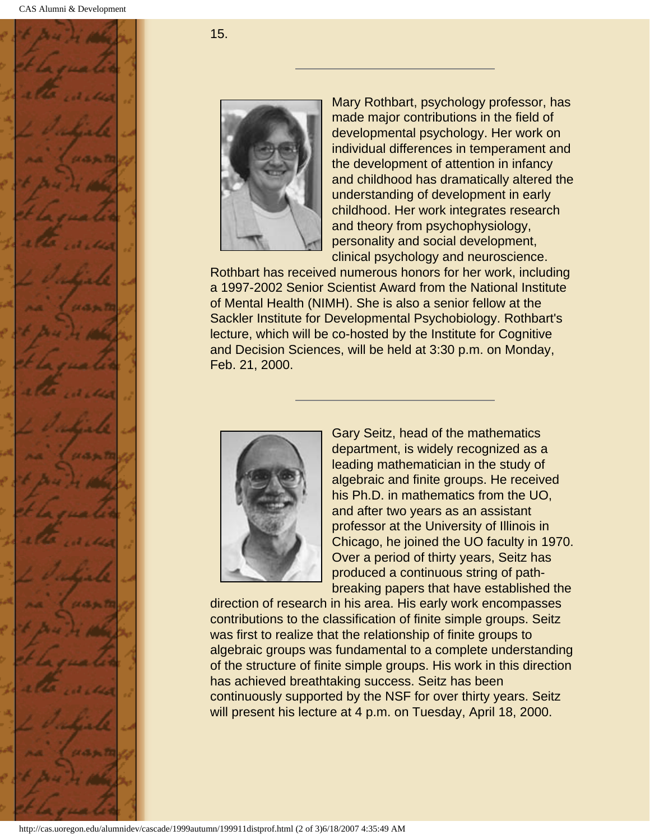

15.



Mary Rothbart, psychology professor, has made major contributions in the field of developmental psychology. Her work on individual differences in temperament and the development of attention in infancy and childhood has dramatically altered the understanding of development in early childhood. Her work integrates research and theory from psychophysiology, personality and social development, clinical psychology and neuroscience.

Rothbart has received numerous honors for her work, including a 1997-2002 Senior Scientist Award from the National Institute of Mental Health (NIMH). She is also a senior fellow at the Sackler Institute for Developmental Psychobiology. Rothbart's lecture, which will be co-hosted by the Institute for Cognitive and Decision Sciences, will be held at 3:30 p.m. on Monday, Feb. 21, 2000.



Gary Seitz, head of the mathematics department, is widely recognized as a leading mathematician in the study of algebraic and finite groups. He received his Ph.D. in mathematics from the UO, and after two years as an assistant professor at the University of Illinois in Chicago, he joined the UO faculty in 1970. Over a period of thirty years, Seitz has produced a continuous string of pathbreaking papers that have established the

direction of research in his area. His early work encompasses contributions to the classification of finite simple groups. Seitz was first to realize that the relationship of finite groups to algebraic groups was fundamental to a complete understanding of the structure of finite simple groups. His work in this direction has achieved breathtaking success. Seitz has been continuously supported by the NSF for over thirty years. Seitz will present his lecture at 4 p.m. on Tuesday, April 18, 2000.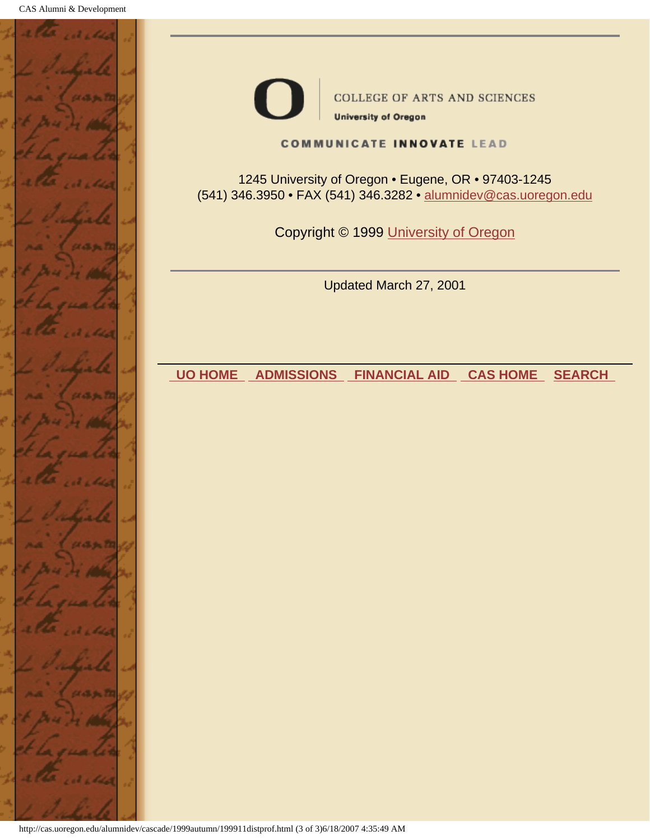



**COLLEGE OF ARTS AND SCIENCES** 

**University of Oregon** 

#### **COMMUNICATE INNOVATE LEAD**

1245 University of Oregon • Eugene, OR • 97403-1245 (541) 346.3950 • FAX (541) 346.3282 • alumnidev@cas.uoregon.edu

Copyright © 1999 University of Oregon

Updated March 27, 2001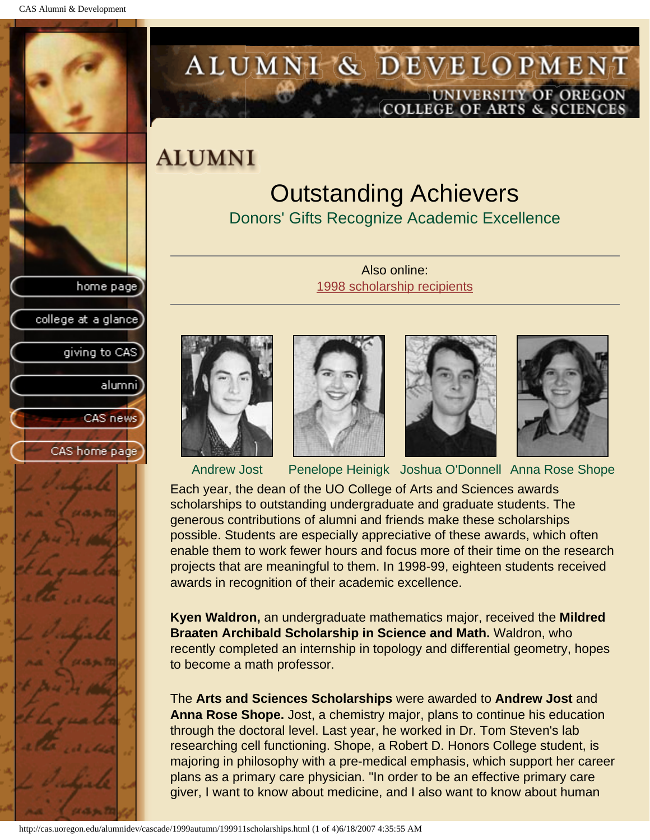<span id="page-19-0"></span>

# ALUMNI & DEVELOPMENT UNIVERSITY OF OREGON<br>COLLEGE OF ARTS & SCIENCES

## **ALUMNI**

# Outstanding Achievers

Donors' Gifts Recognize Academic Excellence

Also online: 1998 scholarship recipients











Andrew Jost Penelope Heinigk Joshua O'Donnell Anna Rose Shope

Each year, the dean of the UO College of Arts and Sciences awards scholarships to outstanding undergraduate and graduate students. The generous contributions of alumni and friends make these scholarships possible. Students are especially appreciative of these awards, which often enable them to work fewer hours and focus more of their time on the research projects that are meaningful to them. In 1998-99, eighteen students received awards in recognition of their academic excellence.

**Kyen Waldron,** an undergraduate mathematics major, received the **Mildred Braaten Archibald Scholarship in Science and Math.** Waldron, who recently completed an internship in topology and differential geometry, hopes to become a math professor.

The **Arts and Sciences Scholarships** were awarded to **Andrew Jost** and **Anna Rose Shope.** Jost, a chemistry major, plans to continue his education through the doctoral level. Last year, he worked in Dr. Tom Steven's lab researching cell functioning. Shope, a Robert D. Honors College student, is majoring in philosophy with a pre-medical emphasis, which support her career plans as a primary care physician. "In order to be an effective primary care giver, I want to know about medicine, and I also want to know about human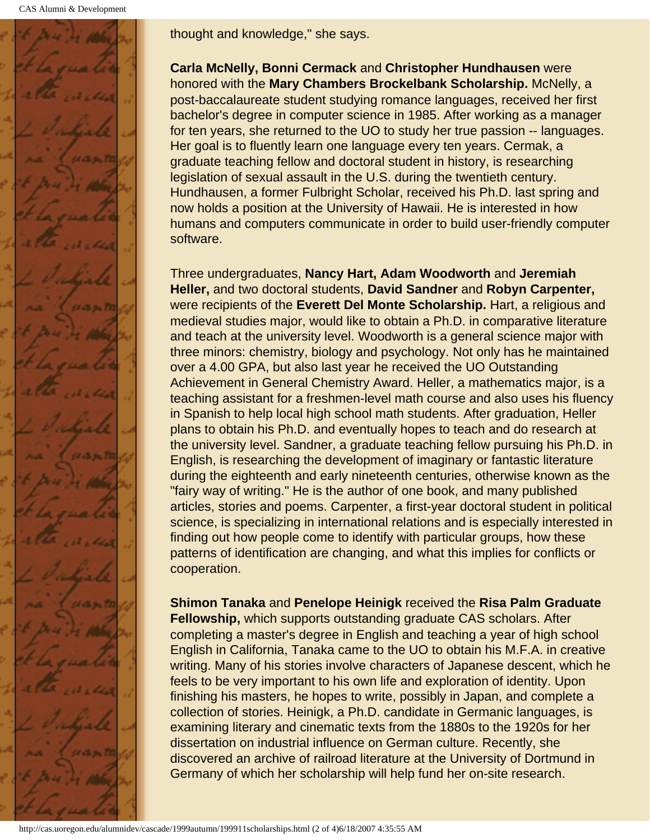CAS Alumni & Development



thought and knowledge," she says.

**Carla McNelly, Bonni Cermack** and **Christopher Hundhausen** were honored with the **Mary Chambers Brockelbank Scholarship.** McNelly, a post-baccalaureate student studying romance languages, received her first bachelor's degree in computer science in 1985. After working as a manager for ten years, she returned to the UO to study her true passion -- languages. Her goal is to fluently learn one language every ten years. Cermak, a graduate teaching fellow and doctoral student in history, is researching legislation of sexual assault in the U.S. during the twentieth century. Hundhausen, a former Fulbright Scholar, received his Ph.D. last spring and now holds a position at the University of Hawaii. He is interested in how humans and computers communicate in order to build user-friendly computer software.

Three undergraduates, **Nancy Hart, Adam Woodworth** and **Jeremiah Heller,** and two doctoral students, **David Sandner** and **Robyn Carpenter,** were recipients of the **Everett Del Monte Scholarship.** Hart, a religious and medieval studies major, would like to obtain a Ph.D. in comparative literature and teach at the university level. Woodworth is a general science major with three minors: chemistry, biology and psychology. Not only has he maintained over a 4.00 GPA, but also last year he received the UO Outstanding Achievement in General Chemistry Award. Heller, a mathematics major, is a teaching assistant for a freshmen-level math course and also uses his fluency in Spanish to help local high school math students. After graduation, Heller plans to obtain his Ph.D. and eventually hopes to teach and do research at the university level. Sandner, a graduate teaching fellow pursuing his Ph.D. in English, is researching the development of imaginary or fantastic literature during the eighteenth and early nineteenth centuries, otherwise known as the "fairy way of writing." He is the author of one book, and many published articles, stories and poems. Carpenter, a first-year doctoral student in political science, is specializing in international relations and is especially interested in finding out how people come to identify with particular groups, how these patterns of identification are changing, and what this implies for conflicts or cooperation.

**Shimon Tanaka** and **Penelope Heinigk** received the **Risa Palm Graduate Fellowship,** which supports outstanding graduate CAS scholars. After completing a master's degree in English and teaching a year of high school English in California, Tanaka came to the UO to obtain his M.F.A. in creative writing. Many of his stories involve characters of Japanese descent, which he feels to be very important to his own life and exploration of identity. Upon finishing his masters, he hopes to write, possibly in Japan, and complete a collection of stories. Heinigk, a Ph.D. candidate in Germanic languages, is examining literary and cinematic texts from the 1880s to the 1920s for her dissertation on industrial influence on German culture. Recently, she discovered an archive of railroad literature at the University of Dortmund in Germany of which her scholarship will help fund her on-site research.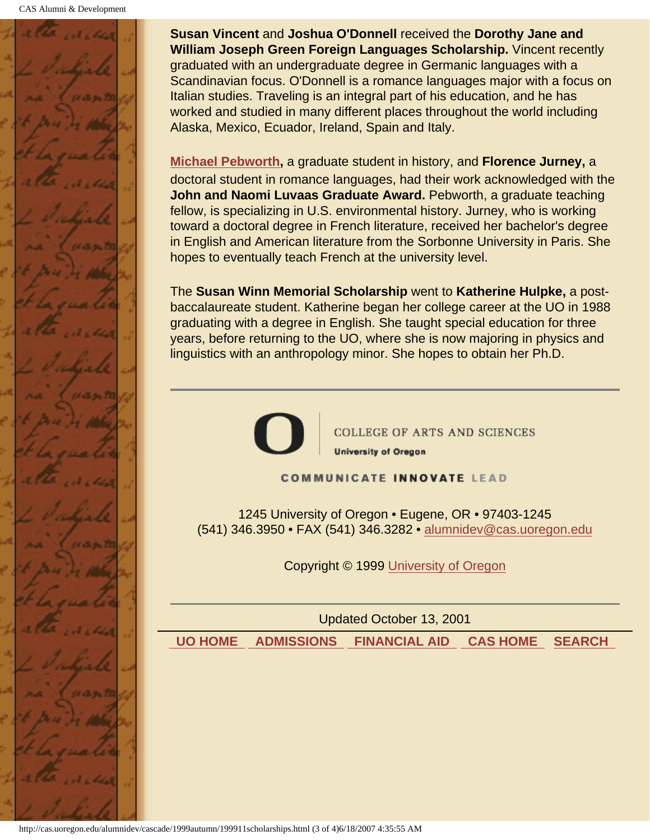

**Susan Vincent** and **Joshua O'Donnell** received the **Dorothy Jane and William Joseph Green Foreign Languages Scholarship.** Vincent recently graduated with an undergraduate degree in Germanic languages with a Scandinavian focus. O'Donnell is a romance languages major with a focus on Italian studies. Traveling is an integral part of his education, and he has worked and studied in many different places throughout the world including Alaska, Mexico, Ecuador, Ireland, Spain and Italy.

**[Michael Pebworth,](#page-22-0)** a graduate student in history, and **Florence Jurney,** a doctoral student in romance languages, had their work acknowledged with the **John and Naomi Luvaas Graduate Award.** Pebworth, a graduate teaching fellow, is specializing in U.S. environmental history. Jurney, who is working toward a doctoral degree in French literature, received her bachelor's degree in English and American literature from the Sorbonne University in Paris. She hopes to eventually teach French at the university level.

The **Susan Winn Memorial Scholarship** went to **Katherine Hulpke,** a postbaccalaureate student. Katherine began her college career at the UO in 1988 graduating with a degree in English. She taught special education for three years, before returning to the UO, where she is now majoring in physics and linguistics with an anthropology minor. She hopes to obtain her Ph.D.



**COLLEGE OF ARTS AND SCIENCES University of Oregon** 

**COMMUNICATE INNOVATE LEAD** 

1245 University of Oregon • Eugene, OR • 97403-1245 (541) 346.3950 • FAX (541) 346.3282 • alumnidev@cas.uoregon.edu

Copyright © 1999 University of Oregon

Updated October 13, 2001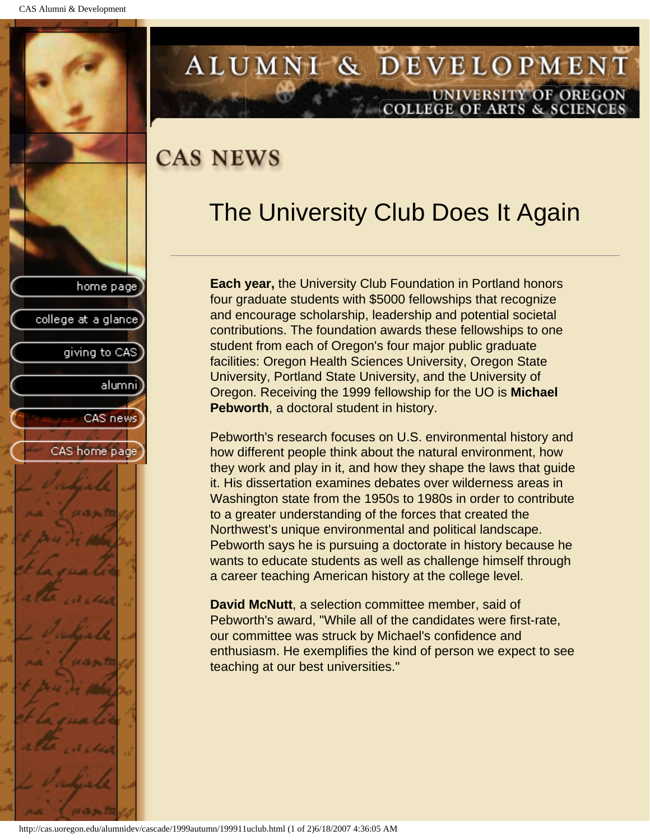<span id="page-22-0"></span>

## ALUMNI & DEVELOPMENT UNIVERSITY OF OREGON **COLLEGE OF ARTS & SCIENCES**

# **CAS NEWS**

# The University Club Does It Again

**Each year,** the University Club Foundation in Portland honors four graduate students with \$5000 fellowships that recognize and encourage scholarship, leadership and potential societal contributions. The foundation awards these fellowships to one student from each of Oregon's four major public graduate facilities: Oregon Health Sciences University, Oregon State University, Portland State University, and the University of Oregon. Receiving the 1999 fellowship for the UO is **Michael Pebworth**, a doctoral student in history.

Pebworth's research focuses on U.S. environmental history and how different people think about the natural environment, how they work and play in it, and how they shape the laws that guide it. His dissertation examines debates over wilderness areas in Washington state from the 1950s to 1980s in order to contribute to a greater understanding of the forces that created the Northwest's unique environmental and political landscape. Pebworth says he is pursuing a doctorate in history because he wants to educate students as well as challenge himself through a career teaching American history at the college level.

**David McNutt**, a selection committee member, said of Pebworth's award, "While all of the candidates were first-rate, our committee was struck by Michael's confidence and enthusiasm. He exemplifies the kind of person we expect to see teaching at our best universities."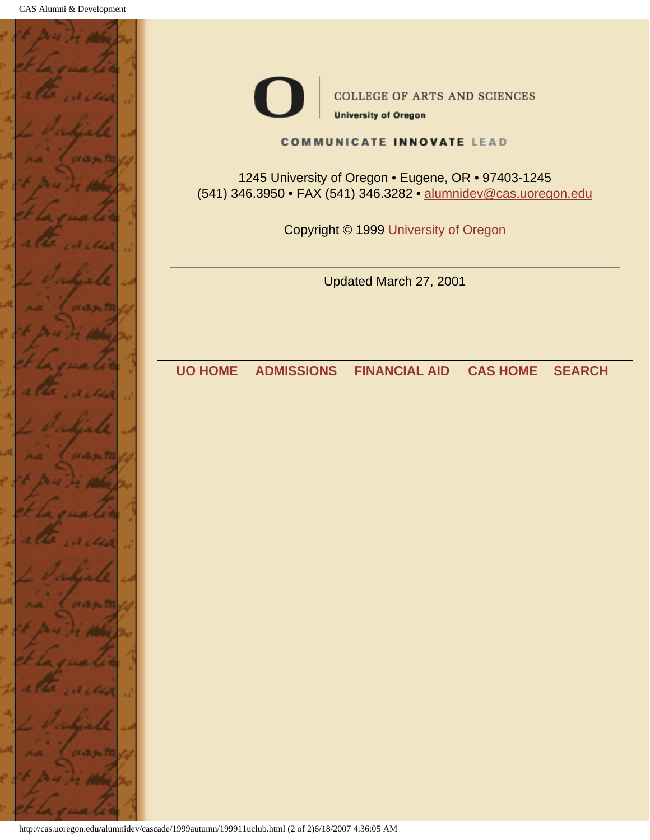



**COLLEGE OF ARTS AND SCIENCES** 

**University of Oregon** 

#### **COMMUNICATE INNOVATE LEAD**

1245 University of Oregon • Eugene, OR • 97403-1245 (541) 346.3950 • FAX (541) 346.3282 • alumnidev@cas.uoregon.edu

Copyright © 1999 University of Oregon

Updated March 27, 2001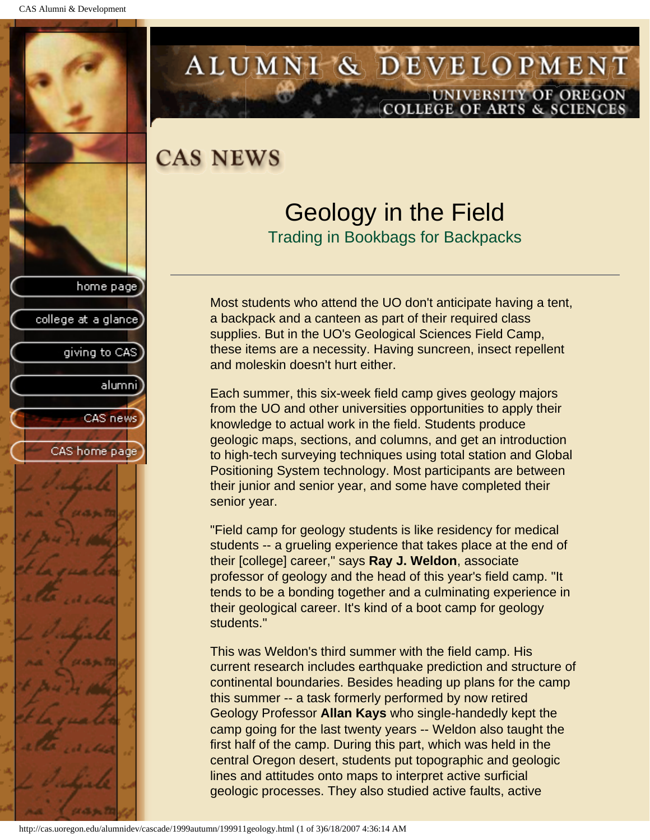<span id="page-24-0"></span>

## ALUMNI & DEVELOPMENT UNIVERSITY OF OREGON **COLLEGE OF ARTS & SCIENCES**

## **CAS NEWS**

## Geology in the Field Trading in Bookbags for Backpacks

Most students who attend the UO don't anticipate having a tent, a backpack and a canteen as part of their required class supplies. But in the UO's Geological Sciences Field Camp, these items are a necessity. Having suncreen, insect repellent and moleskin doesn't hurt either.

Each summer, this six-week field camp gives geology majors from the UO and other universities opportunities to apply their knowledge to actual work in the field. Students produce geologic maps, sections, and columns, and get an introduction to high-tech surveying techniques using total station and Global Positioning System technology. Most participants are between their junior and senior year, and some have completed their senior year.

"Field camp for geology students is like residency for medical students -- a grueling experience that takes place at the end of their [college] career," says **Ray J. Weldon**, associate professor of geology and the head of this year's field camp. "It tends to be a bonding together and a culminating experience in their geological career. It's kind of a boot camp for geology students."

This was Weldon's third summer with the field camp. His current research includes earthquake prediction and structure of continental boundaries. Besides heading up plans for the camp this summer -- a task formerly performed by now retired Geology Professor **Allan Kays** who single-handedly kept the camp going for the last twenty years -- Weldon also taught the first half of the camp. During this part, which was held in the central Oregon desert, students put topographic and geologic lines and attitudes onto maps to interpret active surficial geologic processes. They also studied active faults, active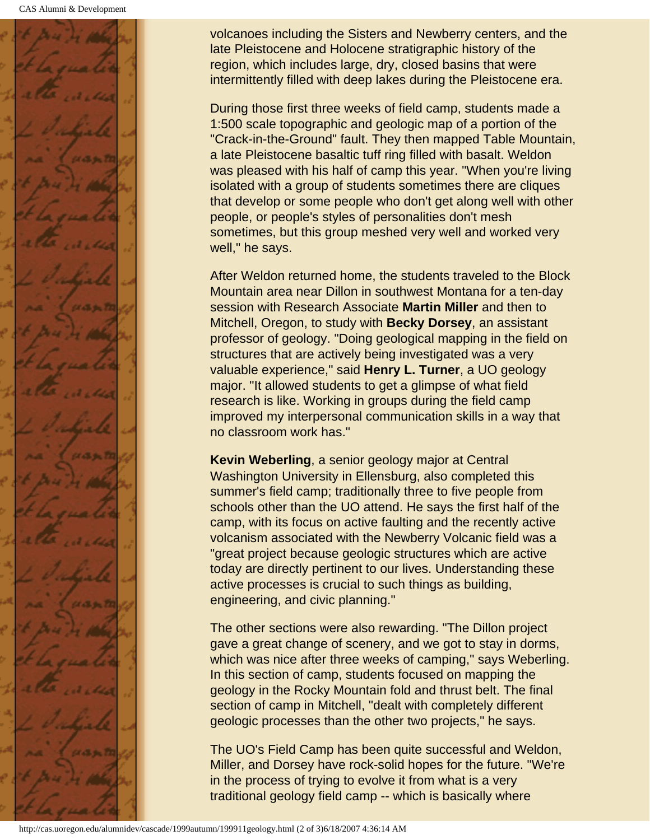

volcanoes including the Sisters and Newberry centers, and the late Pleistocene and Holocene stratigraphic history of the region, which includes large, dry, closed basins that were intermittently filled with deep lakes during the Pleistocene era.

During those first three weeks of field camp, students made a 1:500 scale topographic and geologic map of a portion of the "Crack-in-the-Ground" fault. They then mapped Table Mountain, a late Pleistocene basaltic tuff ring filled with basalt. Weldon was pleased with his half of camp this year. "When you're living isolated with a group of students sometimes there are cliques that develop or some people who don't get along well with other people, or people's styles of personalities don't mesh sometimes, but this group meshed very well and worked very well," he says.

After Weldon returned home, the students traveled to the Block Mountain area near Dillon in southwest Montana for a ten-day session with Research Associate **Martin Miller** and then to Mitchell, Oregon, to study with **Becky Dorsey**, an assistant professor of geology. "Doing geological mapping in the field on structures that are actively being investigated was a very valuable experience," said **Henry L. Turner**, a UO geology major. "It allowed students to get a glimpse of what field research is like. Working in groups during the field camp improved my interpersonal communication skills in a way that no classroom work has."

**Kevin Weberling**, a senior geology major at Central Washington University in Ellensburg, also completed this summer's field camp; traditionally three to five people from schools other than the UO attend. He says the first half of the camp, with its focus on active faulting and the recently active volcanism associated with the Newberry Volcanic field was a "great project because geologic structures which are active today are directly pertinent to our lives. Understanding these active processes is crucial to such things as building, engineering, and civic planning."

The other sections were also rewarding. "The Dillon project gave a great change of scenery, and we got to stay in dorms, which was nice after three weeks of camping," says Weberling. In this section of camp, students focused on mapping the geology in the Rocky Mountain fold and thrust belt. The final section of camp in Mitchell, "dealt with completely different geologic processes than the other two projects," he says.

The UO's Field Camp has been quite successful and Weldon, Miller, and Dorsey have rock-solid hopes for the future. "We're in the process of trying to evolve it from what is a very traditional geology field camp -- which is basically where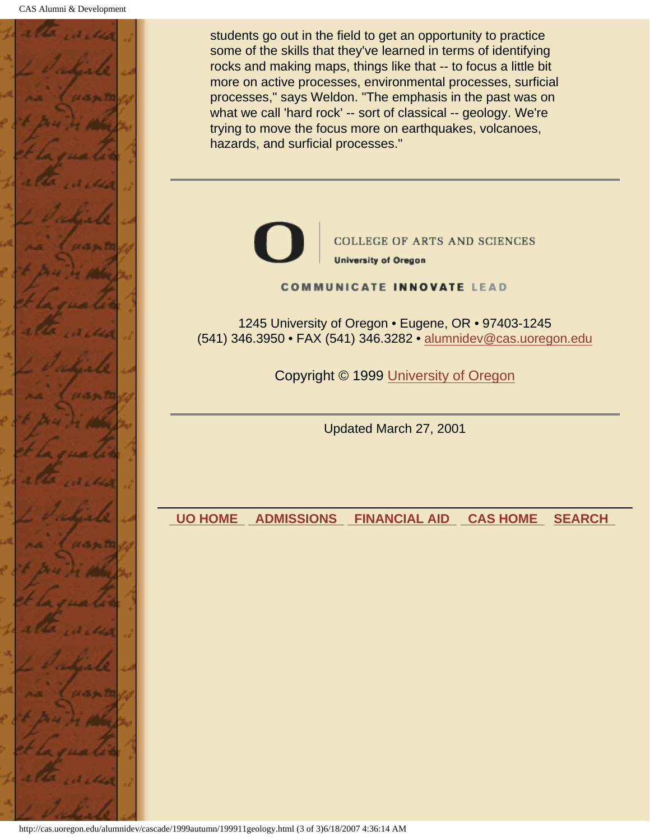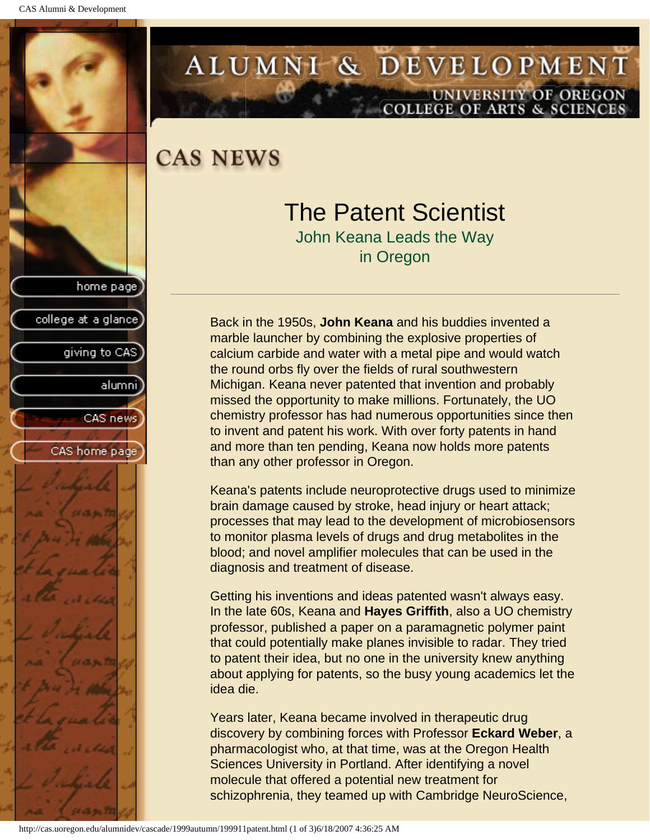<span id="page-27-0"></span>

# ALUMNI & DEVELOPMENT UNIVERSITY OF OREGON<br>COLLEGE OF ARTS & SCIENCES

**CAS NEWS** 

# The Patent Scientist

John Keana Leads the Way in Oregon

Back in the 1950s, **John Keana** and his buddies invented a marble launcher by combining the explosive properties of calcium carbide and water with a metal pipe and would watch the round orbs fly over the fields of rural southwestern Michigan. Keana never patented that invention and probably missed the opportunity to make millions. Fortunately, the UO chemistry professor has had numerous opportunities since then to invent and patent his work. With over forty patents in hand and more than ten pending, Keana now holds more patents than any other professor in Oregon.

Keana's patents include neuroprotective drugs used to minimize brain damage caused by stroke, head injury or heart attack; processes that may lead to the development of microbiosensors to monitor plasma levels of drugs and drug metabolites in the blood; and novel amplifier molecules that can be used in the diagnosis and treatment of disease.

Getting his inventions and ideas patented wasn't always easy. In the late 60s, Keana and **Hayes Griffith**, also a UO chemistry professor, published a paper on a paramagnetic polymer paint that could potentially make planes invisible to radar. They tried to patent their idea, but no one in the university knew anything about applying for patents, so the busy young academics let the idea die.

Years later, Keana became involved in therapeutic drug discovery by combining forces with Professor **Eckard Weber**, a pharmacologist who, at that time, was at the Oregon Health Sciences University in Portland. After identifying a novel molecule that offered a potential new treatment for schizophrenia, they teamed up with Cambridge NeuroScience,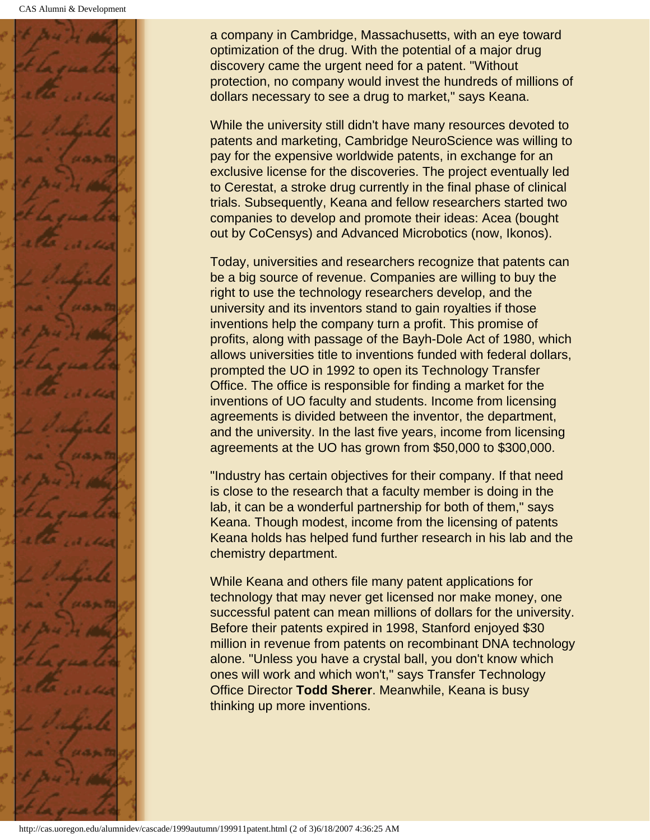

a company in Cambridge, Massachusetts, with an eye toward optimization of the drug. With the potential of a major drug discovery came the urgent need for a patent. "Without protection, no company would invest the hundreds of millions of dollars necessary to see a drug to market," says Keana.

While the university still didn't have many resources devoted to patents and marketing, Cambridge NeuroScience was willing to pay for the expensive worldwide patents, in exchange for an exclusive license for the discoveries. The project eventually led to Cerestat, a stroke drug currently in the final phase of clinical trials. Subsequently, Keana and fellow researchers started two companies to develop and promote their ideas: Acea (bought out by CoCensys) and Advanced Microbotics (now, Ikonos).

Today, universities and researchers recognize that patents can be a big source of revenue. Companies are willing to buy the right to use the technology researchers develop, and the university and its inventors stand to gain royalties if those inventions help the company turn a profit. This promise of profits, along with passage of the Bayh-Dole Act of 1980, which allows universities title to inventions funded with federal dollars, prompted the UO in 1992 to open its Technology Transfer Office. The office is responsible for finding a market for the inventions of UO faculty and students. Income from licensing agreements is divided between the inventor, the department, and the university. In the last five years, income from licensing agreements at the UO has grown from \$50,000 to \$300,000.

"Industry has certain objectives for their company. If that need is close to the research that a faculty member is doing in the lab, it can be a wonderful partnership for both of them," says Keana. Though modest, income from the licensing of patents Keana holds has helped fund further research in his lab and the chemistry department.

While Keana and others file many patent applications for technology that may never get licensed nor make money, one successful patent can mean millions of dollars for the university. Before their patents expired in 1998, Stanford enjoyed \$30 million in revenue from patents on recombinant DNA technology alone. "Unless you have a crystal ball, you don't know which ones will work and which won't," says Transfer Technology Office Director **Todd Sherer**. Meanwhile, Keana is busy thinking up more inventions.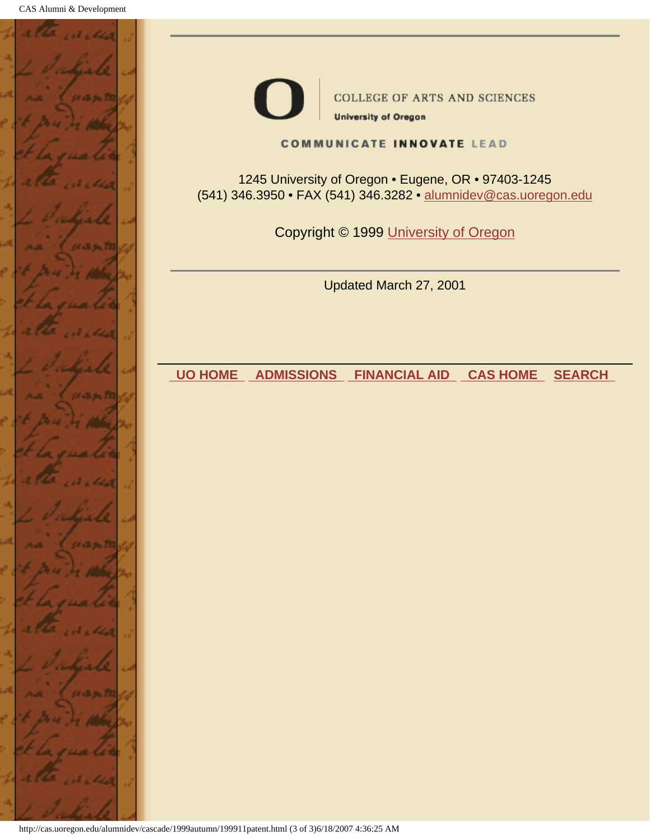



COLLEGE OF ARTS AND SCIENCES

**University of Oregon** 

#### **COMMUNICATE INNOVATE LEAD**

1245 University of Oregon • Eugene, OR • 97403-1245 (541) 346.3950 • FAX (541) 346.3282 • alumnidev@cas.uoregon.edu

Copyright © 1999 University of Oregon

Updated March 27, 2001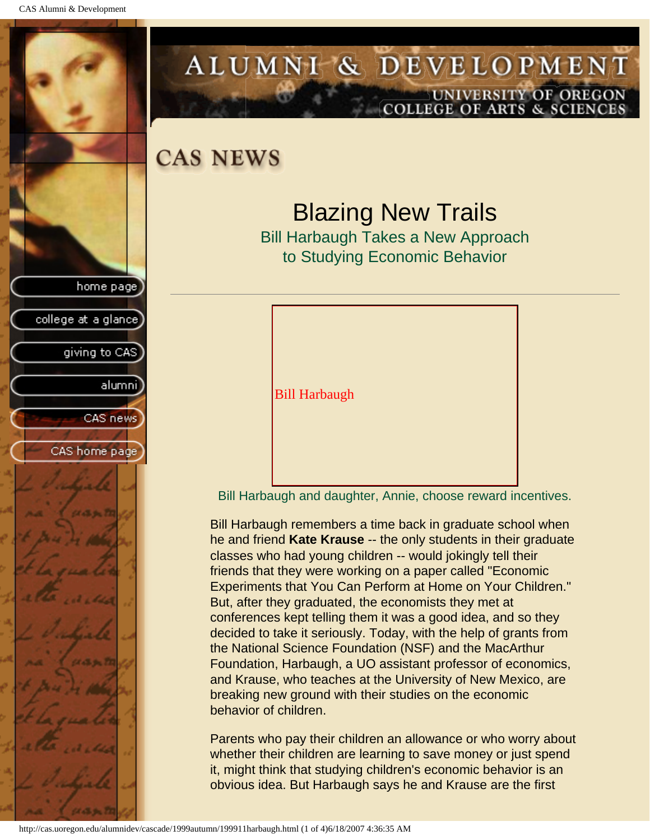<span id="page-30-0"></span>

## ALUMNI & DEVELOPMENT UNIVERSITY OF OREGON **COLLEGE OF ARTS & SCIENCES**

**CAS NEWS** 

# Blazing New Trails

Bill Harbaugh Takes a New Approach to Studying Economic Behavior



Bill Harbaugh and daughter, Annie, choose reward incentives.

Bill Harbaugh remembers a time back in graduate school when he and friend **Kate Krause** -- the only students in their graduate classes who had young children -- would jokingly tell their friends that they were working on a paper called "Economic Experiments that You Can Perform at Home on Your Children." But, after they graduated, the economists they met at conferences kept telling them it was a good idea, and so they decided to take it seriously. Today, with the help of grants from the National Science Foundation (NSF) and the MacArthur Foundation, Harbaugh, a UO assistant professor of economics, and Krause, who teaches at the University of New Mexico, are breaking new ground with their studies on the economic behavior of children.

Parents who pay their children an allowance or who worry about whether their children are learning to save money or just spend it, might think that studying children's economic behavior is an obvious idea. But Harbaugh says he and Krause are the first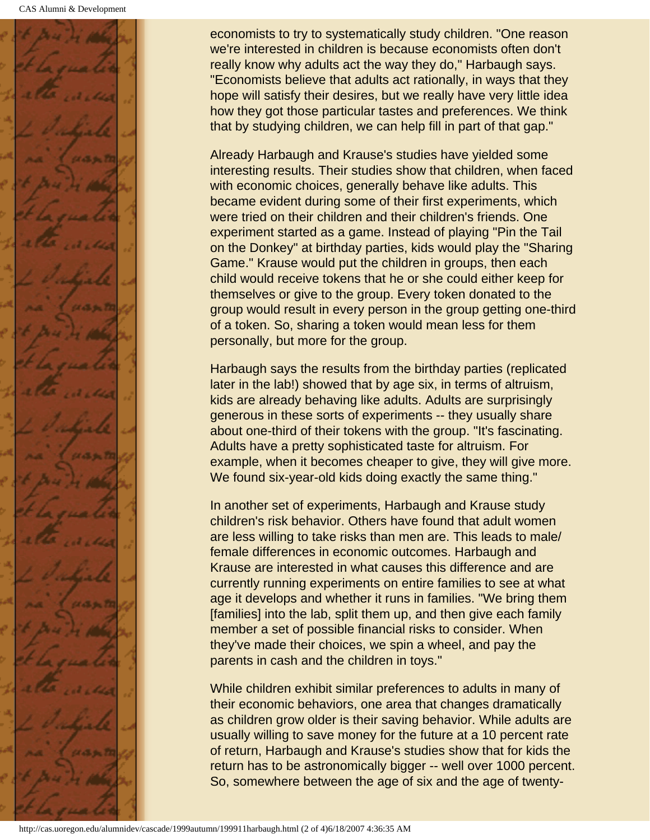

economists to try to systematically study children. "One reason we're interested in children is because economists often don't really know why adults act the way they do," Harbaugh says. "Economists believe that adults act rationally, in ways that they hope will satisfy their desires, but we really have very little idea how they got those particular tastes and preferences. We think that by studying children, we can help fill in part of that gap."

Already Harbaugh and Krause's studies have yielded some interesting results. Their studies show that children, when faced with economic choices, generally behave like adults. This became evident during some of their first experiments, which were tried on their children and their children's friends. One experiment started as a game. Instead of playing "Pin the Tail on the Donkey" at birthday parties, kids would play the "Sharing Game." Krause would put the children in groups, then each child would receive tokens that he or she could either keep for themselves or give to the group. Every token donated to the group would result in every person in the group getting one-third of a token. So, sharing a token would mean less for them personally, but more for the group.

Harbaugh says the results from the birthday parties (replicated later in the lab!) showed that by age six, in terms of altruism, kids are already behaving like adults. Adults are surprisingly generous in these sorts of experiments -- they usually share about one-third of their tokens with the group. "It's fascinating. Adults have a pretty sophisticated taste for altruism. For example, when it becomes cheaper to give, they will give more. We found six-year-old kids doing exactly the same thing."

In another set of experiments, Harbaugh and Krause study children's risk behavior. Others have found that adult women are less willing to take risks than men are. This leads to male/ female differences in economic outcomes. Harbaugh and Krause are interested in what causes this difference and are currently running experiments on entire families to see at what age it develops and whether it runs in families. "We bring them [families] into the lab, split them up, and then give each family member a set of possible financial risks to consider. When they've made their choices, we spin a wheel, and pay the parents in cash and the children in toys."

While children exhibit similar preferences to adults in many of their economic behaviors, one area that changes dramatically as children grow older is their saving behavior. While adults are usually willing to save money for the future at a 10 percent rate of return, Harbaugh and Krause's studies show that for kids the return has to be astronomically bigger -- well over 1000 percent. So, somewhere between the age of six and the age of twenty-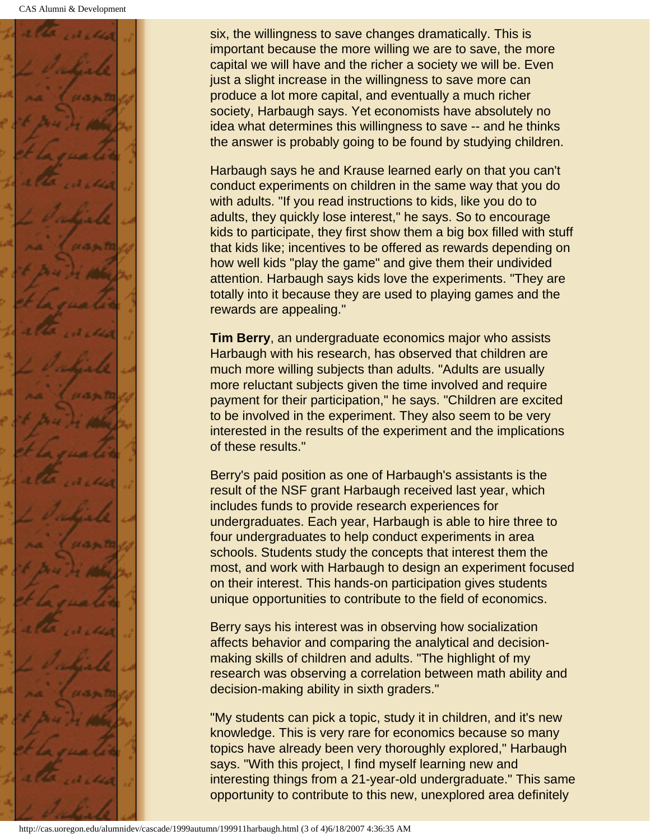

six, the willingness to save changes dramatically. This is important because the more willing we are to save, the more capital we will have and the richer a society we will be. Even just a slight increase in the willingness to save more can produce a lot more capital, and eventually a much richer society, Harbaugh says. Yet economists have absolutely no idea what determines this willingness to save -- and he thinks the answer is probably going to be found by studying children.

Harbaugh says he and Krause learned early on that you can't conduct experiments on children in the same way that you do with adults. "If you read instructions to kids, like you do to adults, they quickly lose interest," he says. So to encourage kids to participate, they first show them a big box filled with stuff that kids like; incentives to be offered as rewards depending on how well kids "play the game" and give them their undivided attention. Harbaugh says kids love the experiments. "They are totally into it because they are used to playing games and the rewards are appealing."

**Tim Berry**, an undergraduate economics major who assists Harbaugh with his research, has observed that children are much more willing subjects than adults. "Adults are usually more reluctant subjects given the time involved and require payment for their participation," he says. "Children are excited to be involved in the experiment. They also seem to be very interested in the results of the experiment and the implications of these results."

Berry's paid position as one of Harbaugh's assistants is the result of the NSF grant Harbaugh received last year, which includes funds to provide research experiences for undergraduates. Each year, Harbaugh is able to hire three to four undergraduates to help conduct experiments in area schools. Students study the concepts that interest them the most, and work with Harbaugh to design an experiment focused on their interest. This hands-on participation gives students unique opportunities to contribute to the field of economics.

Berry says his interest was in observing how socialization affects behavior and comparing the analytical and decisionmaking skills of children and adults. "The highlight of my research was observing a correlation between math ability and decision-making ability in sixth graders."

"My students can pick a topic, study it in children, and it's new knowledge. This is very rare for economics because so many topics have already been very thoroughly explored," Harbaugh says. "With this project, I find myself learning new and interesting things from a 21-year-old undergraduate." This same opportunity to contribute to this new, unexplored area definitely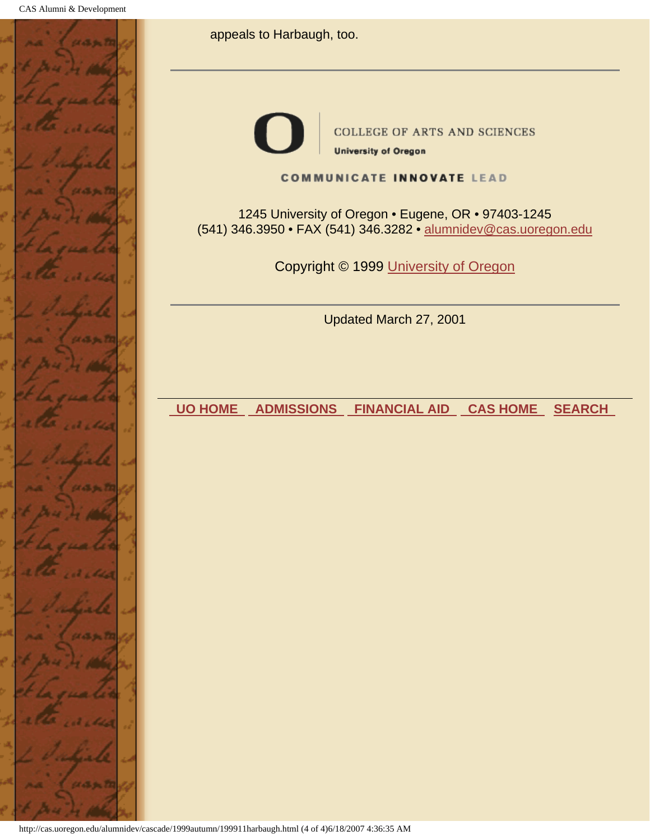

appeals to Harbaugh, too.

**COLLEGE OF ARTS AND SCIENCES University of Oregon** 

#### **COMMUNICATE INNOVATE LEAD**

1245 University of Oregon • Eugene, OR • 97403-1245 (541) 346.3950 • FAX (541) 346.3282 • alumnidev@cas.uoregon.edu

Copyright © 1999 University of Oregon

Updated March 27, 2001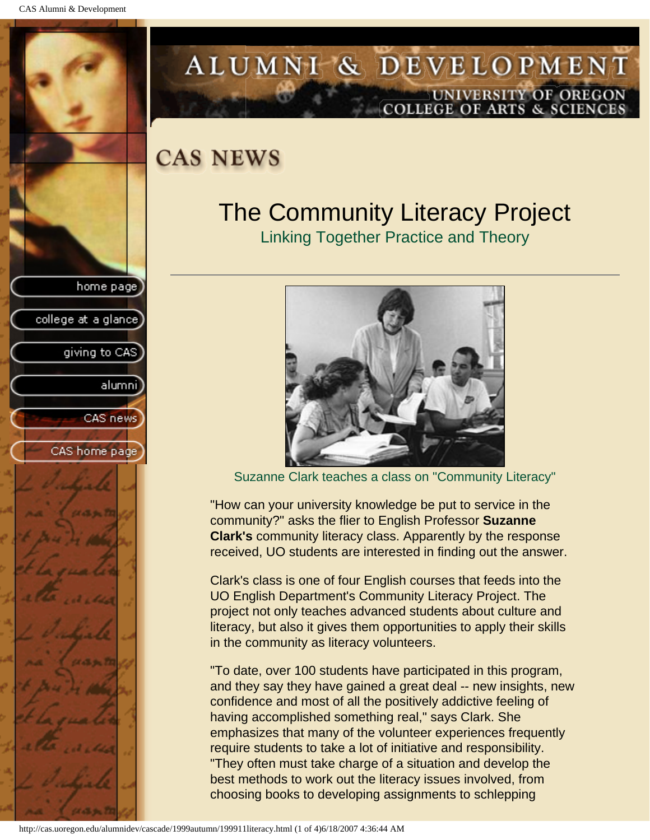<span id="page-34-0"></span>

# ALUMNI & DEVELOPMENT UNIVERSITY OF OREGON<br>COLLEGE OF ARTS & SCIENCES

# **CAS NEWS**

# The Community Literacy Project

Linking Together Practice and Theory

![](_page_34_Picture_6.jpeg)

Suzanne Clark teaches a class on "Community Literacy"

"How can your university knowledge be put to service in the community?" asks the flier to English Professor **Suzanne Clark's** community literacy class. Apparently by the response received, UO students are interested in finding out the answer.

Clark's class is one of four English courses that feeds into the UO English Department's Community Literacy Project. The project not only teaches advanced students about culture and literacy, but also it gives them opportunities to apply their skills in the community as literacy volunteers.

"To date, over 100 students have participated in this program, and they say they have gained a great deal -- new insights, new confidence and most of all the positively addictive feeling of having accomplished something real," says Clark. She emphasizes that many of the volunteer experiences frequently require students to take a lot of initiative and responsibility. "They often must take charge of a situation and develop the best methods to work out the literacy issues involved, from choosing books to developing assignments to schlepping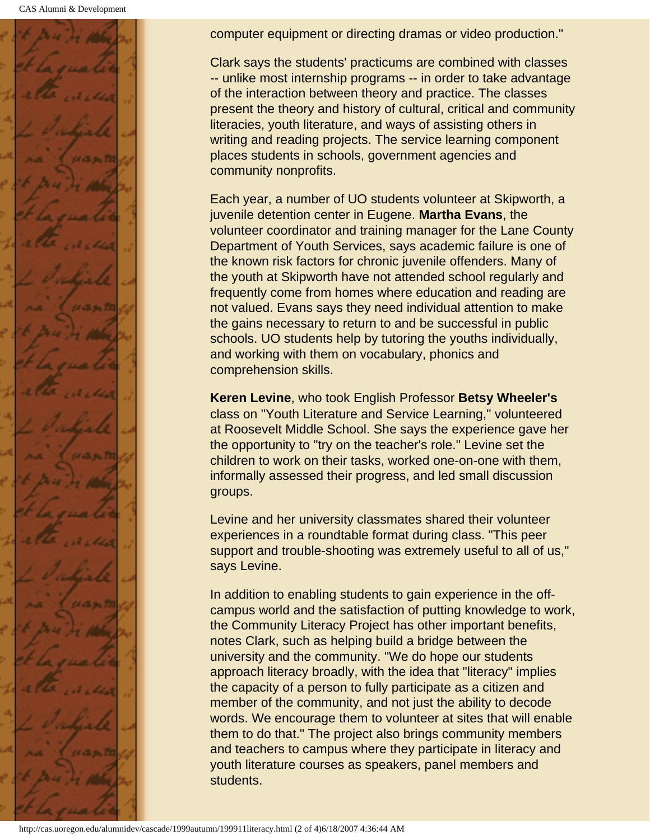![](_page_35_Picture_1.jpeg)

computer equipment or directing dramas or video production."

Clark says the students' practicums are combined with classes -- unlike most internship programs -- in order to take advantage of the interaction between theory and practice. The classes present the theory and history of cultural, critical and community literacies, youth literature, and ways of assisting others in writing and reading projects. The service learning component places students in schools, government agencies and community nonprofits.

Each year, a number of UO students volunteer at Skipworth, a juvenile detention center in Eugene. **Martha Evans**, the volunteer coordinator and training manager for the Lane County Department of Youth Services, says academic failure is one of the known risk factors for chronic juvenile offenders. Many of the youth at Skipworth have not attended school regularly and frequently come from homes where education and reading are not valued. Evans says they need individual attention to make the gains necessary to return to and be successful in public schools. UO students help by tutoring the youths individually, and working with them on vocabulary, phonics and comprehension skills.

**Keren Levine**, who took English Professor **Betsy Wheeler's** class on "Youth Literature and Service Learning," volunteered at Roosevelt Middle School. She says the experience gave her the opportunity to "try on the teacher's role." Levine set the children to work on their tasks, worked one-on-one with them, informally assessed their progress, and led small discussion groups.

Levine and her university classmates shared their volunteer experiences in a roundtable format during class. "This peer support and trouble-shooting was extremely useful to all of us," says Levine.

In addition to enabling students to gain experience in the offcampus world and the satisfaction of putting knowledge to work, the Community Literacy Project has other important benefits, notes Clark, such as helping build a bridge between the university and the community. "We do hope our students approach literacy broadly, with the idea that "literacy" implies the capacity of a person to fully participate as a citizen and member of the community, and not just the ability to decode words. We encourage them to volunteer at sites that will enable them to do that." The project also brings community members and teachers to campus where they participate in literacy and youth literature courses as speakers, panel members and students.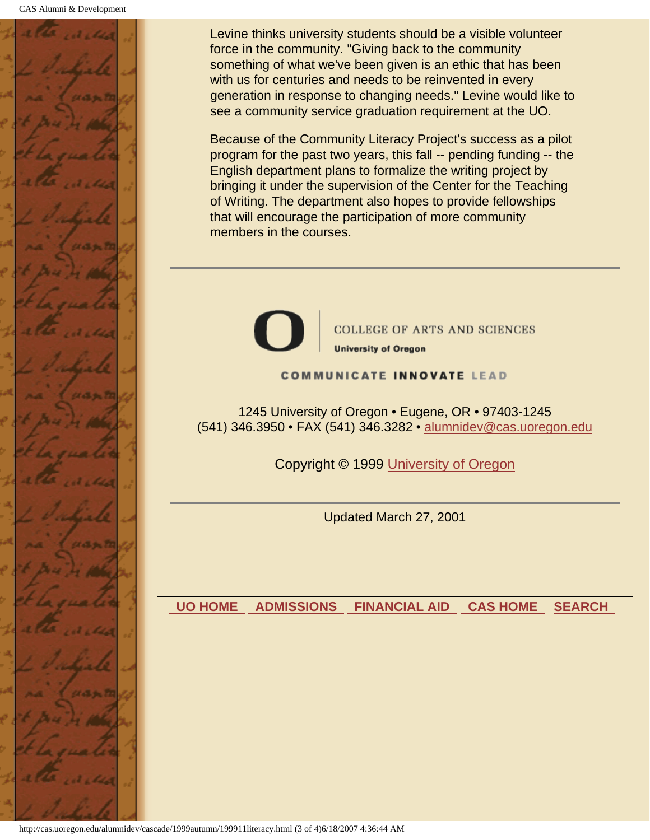![](_page_36_Picture_1.jpeg)

Levine thinks university students should be a visible volunteer force in the community. "Giving back to the community something of what we've been given is an ethic that has been with us for centuries and needs to be reinvented in every generation in response to changing needs." Levine would like to see a community service graduation requirement at the UO.

Because of the Community Literacy Project's success as a pilot program for the past two years, this fall -- pending funding -- the English department plans to formalize the writing project by bringing it under the supervision of the Center for the Teaching of Writing. The department also hopes to provide fellowships that will encourage the participation of more community members in the courses.

![](_page_36_Picture_4.jpeg)

**COLLEGE OF ARTS AND SCIENCES University of Oregon** 

#### **COMMUNICATE INNOVATE LEAD**

1245 University of Oregon • Eugene, OR • 97403-1245 (541) 346.3950 • FAX (541) 346.3282 • alumnidev@cas.uoregon.edu

Copyright © 1999 University of Oregon

Updated March 27, 2001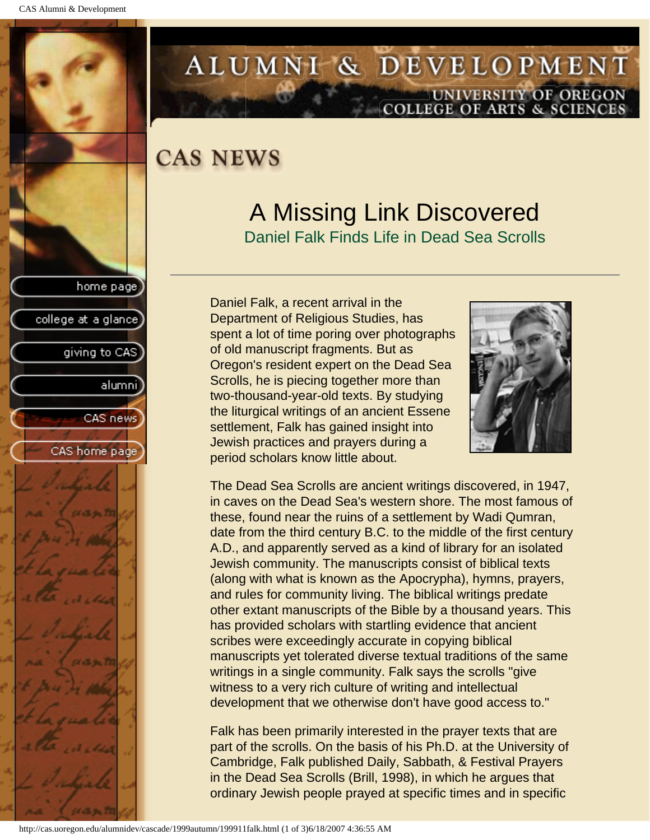<span id="page-37-0"></span>![](_page_37_Picture_1.jpeg)

## ALUMNI & DEVELOPMENT UNIVERSITY OF OREGON **COLLEGE OF ARTS & SCIENCES**

# **CAS NEWS**

# A Missing Link Discovered

Daniel Falk Finds Life in Dead Sea Scrolls

Daniel Falk, a recent arrival in the Department of Religious Studies, has spent a lot of time poring over photographs of old manuscript fragments. But as Oregon's resident expert on the Dead Sea Scrolls, he is piecing together more than two-thousand-year-old texts. By studying the liturgical writings of an ancient Essene settlement, Falk has gained insight into Jewish practices and prayers during a period scholars know little about.

![](_page_37_Picture_7.jpeg)

The Dead Sea Scrolls are ancient writings discovered, in 1947, in caves on the Dead Sea's western shore. The most famous of these, found near the ruins of a settlement by Wadi Qumran, date from the third century B.C. to the middle of the first century A.D., and apparently served as a kind of library for an isolated Jewish community. The manuscripts consist of biblical texts (along with what is known as the Apocrypha), hymns, prayers, and rules for community living. The biblical writings predate other extant manuscripts of the Bible by a thousand years. This has provided scholars with startling evidence that ancient scribes were exceedingly accurate in copying biblical manuscripts yet tolerated diverse textual traditions of the same writings in a single community. Falk says the scrolls "give witness to a very rich culture of writing and intellectual development that we otherwise don't have good access to."

Falk has been primarily interested in the prayer texts that are part of the scrolls. On the basis of his Ph.D. at the University of Cambridge, Falk published Daily, Sabbath, & Festival Prayers in the Dead Sea Scrolls (Brill, 1998), in which he argues that ordinary Jewish people prayed at specific times and in specific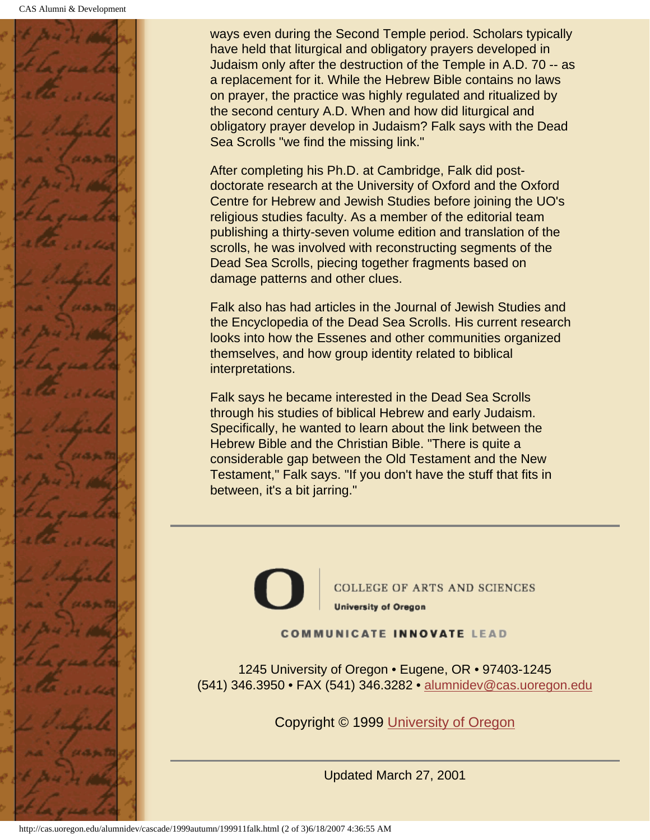![](_page_38_Picture_1.jpeg)

ways even during the Second Temple period. Scholars typically have held that liturgical and obligatory prayers developed in Judaism only after the destruction of the Temple in A.D. 70 -- as a replacement for it. While the Hebrew Bible contains no laws on prayer, the practice was highly regulated and ritualized by the second century A.D. When and how did liturgical and obligatory prayer develop in Judaism? Falk says with the Dead Sea Scrolls "we find the missing link."

After completing his Ph.D. at Cambridge, Falk did postdoctorate research at the University of Oxford and the Oxford Centre for Hebrew and Jewish Studies before joining the UO's religious studies faculty. As a member of the editorial team publishing a thirty-seven volume edition and translation of the scrolls, he was involved with reconstructing segments of the Dead Sea Scrolls, piecing together fragments based on damage patterns and other clues.

Falk also has had articles in the Journal of Jewish Studies and the Encyclopedia of the Dead Sea Scrolls. His current research looks into how the Essenes and other communities organized themselves, and how group identity related to biblical interpretations.

Falk says he became interested in the Dead Sea Scrolls through his studies of biblical Hebrew and early Judaism. Specifically, he wanted to learn about the link between the Hebrew Bible and the Christian Bible. "There is quite a considerable gap between the Old Testament and the New Testament," Falk says. "If you don't have the stuff that fits in between, it's a bit jarring."

![](_page_38_Picture_6.jpeg)

**COLLEGE OF ARTS AND SCIENCES University of Oregon** 

**COMMUNICATE INNOVATE LEAD** 

1245 University of Oregon • Eugene, OR • 97403-1245 (541) 346.3950 • FAX (541) 346.3282 • alumnidev@cas.uoregon.edu

Copyright © 1999 University of Oregon

Updated March 27, 2001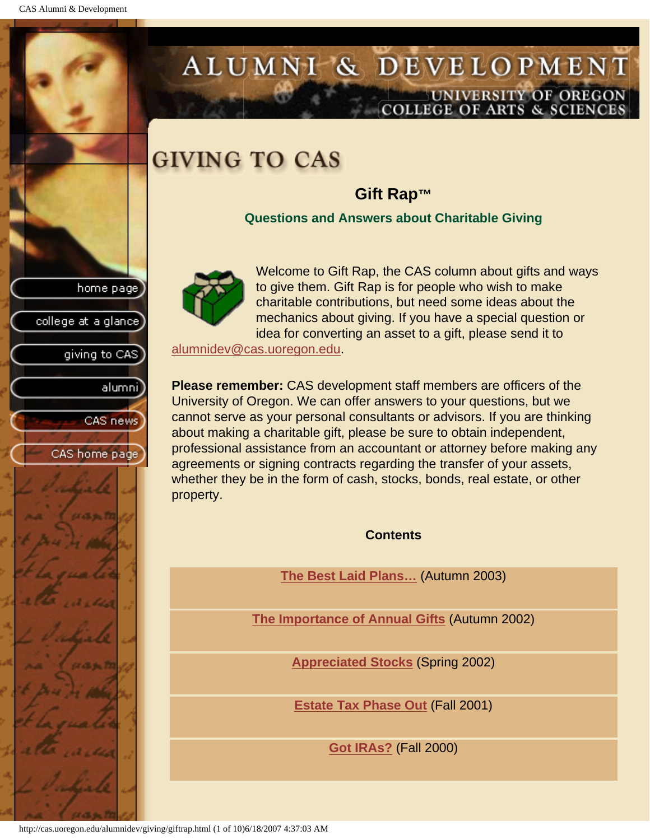<span id="page-39-0"></span>CAS Alumni & Development

home page

college at a glance

giving to CAS

alumnil

CAS news

CAS home page

## ALUMNI & DEVELOPMENT UNIVERSITY OF OREGON OLLEGE OF ARTS & SCIENC

# **GIVING TO CAS**

## **Gift Rap™**

**Questions and Answers about Charitable Giving**

![](_page_39_Picture_5.jpeg)

Welcome to Gift Rap, the CAS column about gifts and ways to give them. Gift Rap is for people who wish to make charitable contributions, but need some ideas about the mechanics about giving. If you have a special question or idea for converting an asset to a gift, please send it to

alumnidev@cas.uoregon.edu.

**Please remember:** CAS development staff members are officers of the University of Oregon. We can offer answers to your questions, but we cannot serve as your personal consultants or advisors. If you are thinking about making a charitable gift, please be sure to obtain independent, professional assistance from an accountant or attorney before making any agreements or signing contracts regarding the transfer of your assets, whether they be in the form of cash, stocks, bonds, real estate, or other property.

**Contents**

**[The Best Laid Plans…](#page-40-0)** (Autumn 2003)

**[The Importance of Annual Gifts](#page-41-0)** (Autumn 2002)

**[Appreciated Stocks](#page-42-0)** (Spring 2002)

**[Estate Tax Phase Out](#page-44-0)** (Fall 2001)

**[Got IRAs?](#page-46-0)** (Fall 2000)

http://cas.uoregon.edu/alumnidev/giving/giftrap.html (1 of 10)6/18/2007 4:37:03 AM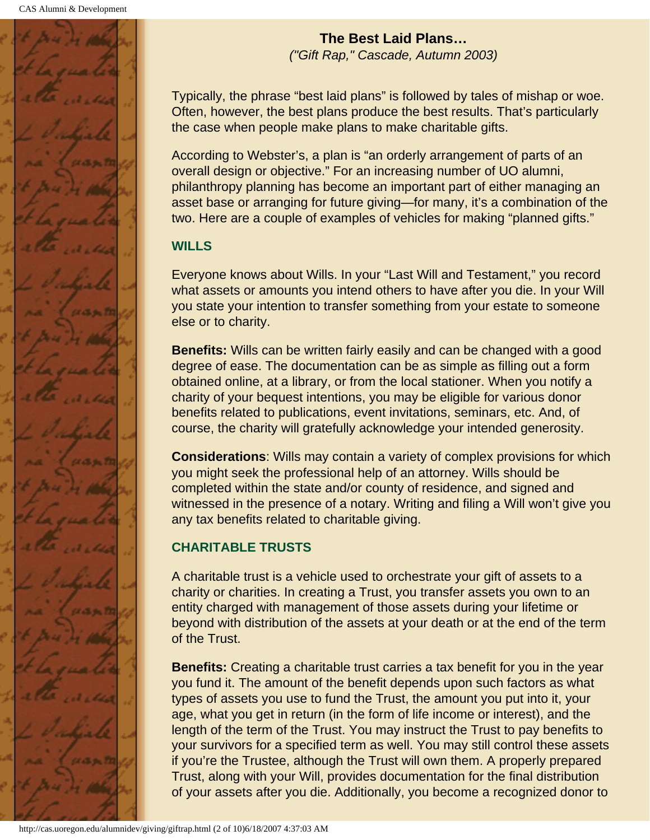<span id="page-40-0"></span>![](_page_40_Picture_1.jpeg)

**The Best Laid Plans…** *("Gift Rap," Cascade, Autumn 2003)*

Typically, the phrase "best laid plans" is followed by tales of mishap or woe. Often, however, the best plans produce the best results. That's particularly the case when people make plans to make charitable gifts.

According to Webster's, a plan is "an orderly arrangement of parts of an overall design or objective." For an increasing number of UO alumni, philanthropy planning has become an important part of either managing an asset base or arranging for future giving—for many, it's a combination of the two. Here are a couple of examples of vehicles for making "planned gifts."

## **WILLS**

Everyone knows about Wills. In your "Last Will and Testament," you record what assets or amounts you intend others to have after you die. In your Will you state your intention to transfer something from your estate to someone else or to charity.

**Benefits:** Wills can be written fairly easily and can be changed with a good degree of ease. The documentation can be as simple as filling out a form obtained online, at a library, or from the local stationer. When you notify a charity of your bequest intentions, you may be eligible for various donor benefits related to publications, event invitations, seminars, etc. And, of course, the charity will gratefully acknowledge your intended generosity.

**Considerations**: Wills may contain a variety of complex provisions for which you might seek the professional help of an attorney. Wills should be completed within the state and/or county of residence, and signed and witnessed in the presence of a notary. Writing and filing a Will won't give you any tax benefits related to charitable giving.

## **CHARITABLE TRUSTS**

A charitable trust is a vehicle used to orchestrate your gift of assets to a charity or charities. In creating a Trust, you transfer assets you own to an entity charged with management of those assets during your lifetime or beyond with distribution of the assets at your death or at the end of the term of the Trust.

**Benefits:** Creating a charitable trust carries a tax benefit for you in the year you fund it. The amount of the benefit depends upon such factors as what types of assets you use to fund the Trust, the amount you put into it, your age, what you get in return (in the form of life income or interest), and the length of the term of the Trust. You may instruct the Trust to pay benefits to your survivors for a specified term as well. You may still control these assets if you're the Trustee, although the Trust will own them. A properly prepared Trust, along with your Will, provides documentation for the final distribution of your assets after you die. Additionally, you become a recognized donor to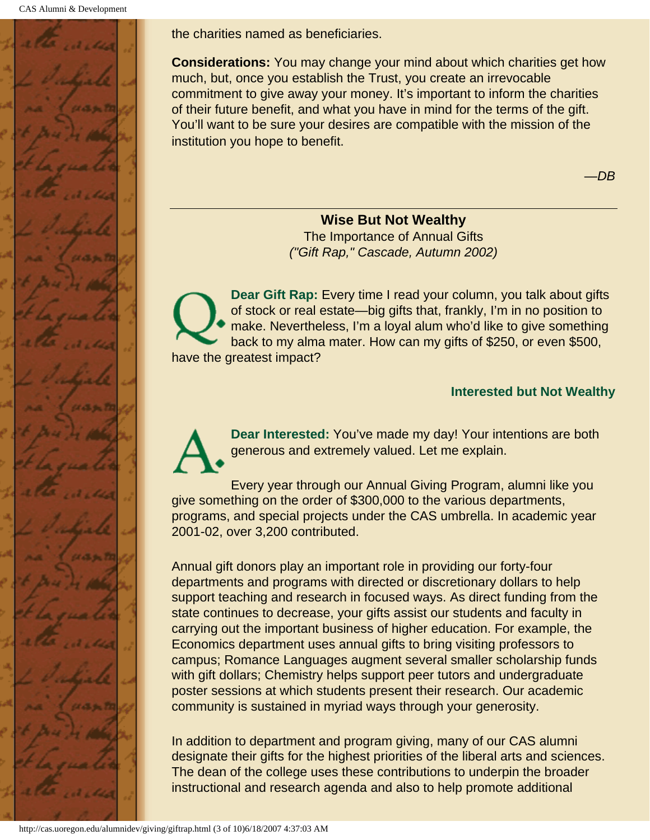![](_page_41_Picture_1.jpeg)

the charities named as beneficiaries.

**Considerations:** You may change your mind about which charities get how much, but, once you establish the Trust, you create an irrevocable commitment to give away your money. It's important to inform the charities of their future benefit, and what you have in mind for the terms of the gift. You'll want to be sure your desires are compatible with the mission of the institution you hope to benefit.

—*DB*

#### **Wise But Not Wealthy**

The Importance of Annual Gifts *("Gift Rap," Cascade, Autumn 2002)*

<span id="page-41-0"></span>**Dear Gift Rap:** Every time I read your column, you talk about gifts of stock or real estate—big gifts that, frankly, I'm in no position to make. Nevertheless, I'm a loyal alum who'd like to give something back to my alma mater. How can my gifts of \$250, or even \$500, have the greatest impact?

#### **Interested but Not Wealthy**

**Dear Interested:** You've made my day! Your intentions are both generous and extremely valued. Let me explain.

Every year through our Annual Giving Program, alumni like you give something on the order of \$300,000 to the various departments, programs, and special projects under the CAS umbrella. In academic year 2001-02, over 3,200 contributed.

Annual gift donors play an important role in providing our forty-four departments and programs with directed or discretionary dollars to help support teaching and research in focused ways. As direct funding from the state continues to decrease, your gifts assist our students and faculty in carrying out the important business of higher education. For example, the Economics department uses annual gifts to bring visiting professors to campus; Romance Languages augment several smaller scholarship funds with gift dollars; Chemistry helps support peer tutors and undergraduate poster sessions at which students present their research. Our academic community is sustained in myriad ways through your generosity.

In addition to department and program giving, many of our CAS alumni designate their gifts for the highest priorities of the liberal arts and sciences. The dean of the college uses these contributions to underpin the broader instructional and research agenda and also to help promote additional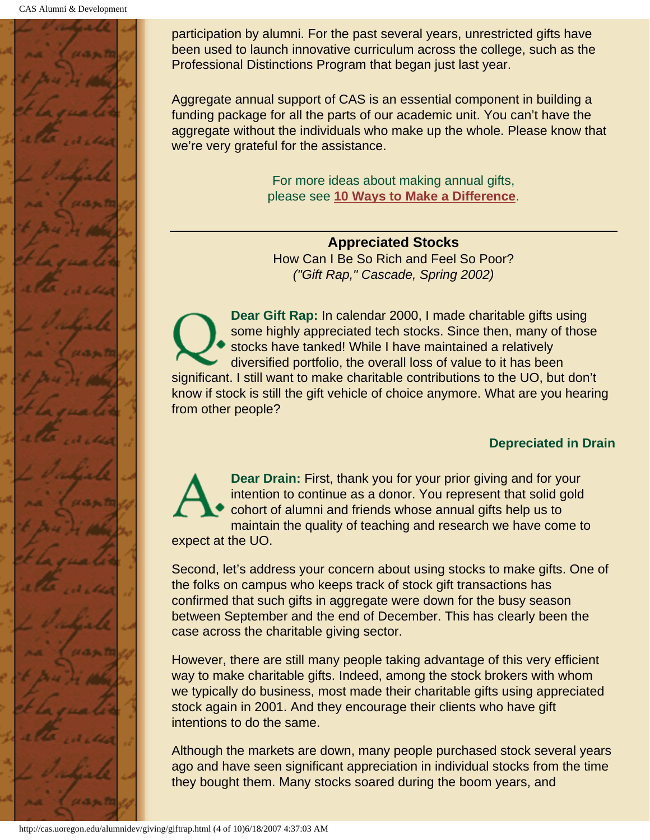![](_page_42_Picture_1.jpeg)

participation by alumni. For the past several years, unrestricted gifts have been used to launch innovative curriculum across the college, such as the Professional Distinctions Program that began just last year.

Aggregate annual support of CAS is an essential component in building a funding package for all the parts of our academic unit. You can't have the aggregate without the individuals who make up the whole. Please know that we're very grateful for the assistance.

> For more ideas about making annual gifts, please see **10 Ways to Make a Difference**.

**Appreciated Stocks** How Can I Be So Rich and Feel So Poor? *("Gift Rap," Cascade, Spring 2002)*

<span id="page-42-0"></span>**Dear Gift Rap:** In calendar 2000, I made charitable gifts using some highly appreciated tech stocks. Since then, many of those stocks have tanked! While I have maintained a relatively diversified portfolio, the overall loss of value to it has been significant. I still want to make charitable contributions to the UO, but don't know if stock is still the gift vehicle of choice anymore. What are you hearing from other people?

### **Depreciated in Drain**

**Dear Drain:** First, thank you for your prior giving and for your intention to continue as a donor. You represent that solid gold cohort of alumni and friends whose annual gifts help us to maintain the quality of teaching and research we have come to expect at the UO.

Second, let's address your concern about using stocks to make gifts. One of the folks on campus who keeps track of stock gift transactions has confirmed that such gifts in aggregate were down for the busy season between September and the end of December. This has clearly been the case across the charitable giving sector.

However, there are still many people taking advantage of this very efficient way to make charitable gifts. Indeed, among the stock brokers with whom we typically do business, most made their charitable gifts using appreciated stock again in 2001. And they encourage their clients who have gift intentions to do the same.

Although the markets are down, many people purchased stock several years ago and have seen significant appreciation in individual stocks from the time they bought them. Many stocks soared during the boom years, and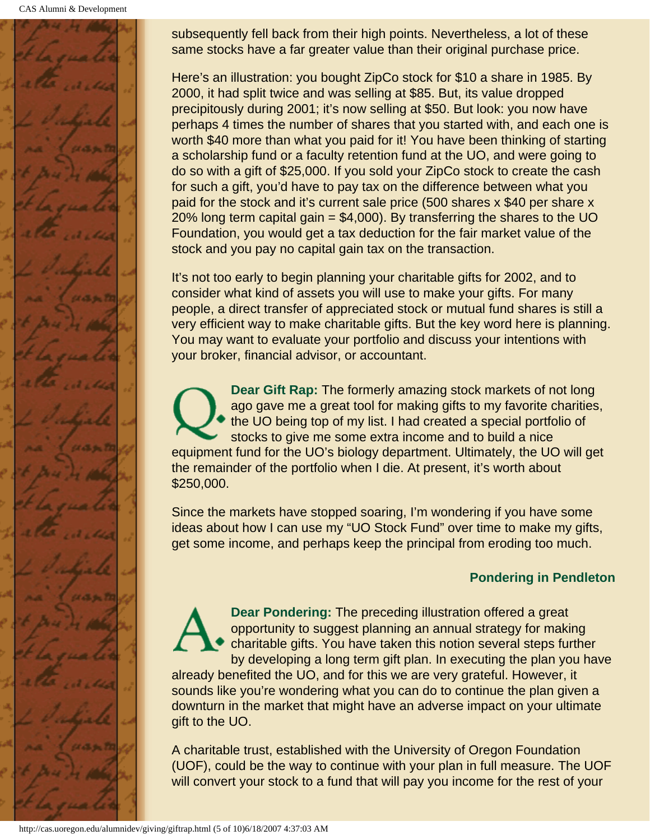CAS Alumni & Development

![](_page_43_Picture_1.jpeg)

subsequently fell back from their high points. Nevertheless, a lot of these same stocks have a far greater value than their original purchase price.

Here's an illustration: you bought ZipCo stock for \$10 a share in 1985. By 2000, it had split twice and was selling at \$85. But, its value dropped precipitously during 2001; it's now selling at \$50. But look: you now have perhaps 4 times the number of shares that you started with, and each one is worth \$40 more than what you paid for it! You have been thinking of starting a scholarship fund or a faculty retention fund at the UO, and were going to do so with a gift of \$25,000. If you sold your ZipCo stock to create the cash for such a gift, you'd have to pay tax on the difference between what you paid for the stock and it's current sale price (500 shares x \$40 per share x 20% long term capital gain  $= $4,000$ ). By transferring the shares to the UO Foundation, you would get a tax deduction for the fair market value of the stock and you pay no capital gain tax on the transaction.

It's not too early to begin planning your charitable gifts for 2002, and to consider what kind of assets you will use to make your gifts. For many people, a direct transfer of appreciated stock or mutual fund shares is still a very efficient way to make charitable gifts. But the key word here is planning. You may want to evaluate your portfolio and discuss your intentions with your broker, financial advisor, or accountant.

**Dear Gift Rap:** The formerly amazing stock markets of not long ago gave me a great tool for making gifts to my favorite charities, the UO being top of my list. I had created a special portfolio of stocks to give me some extra income and to build a nice equipment fund for the UO's biology department. Ultimately, the UO will get the remainder of the portfolio when I die. At present, it's worth about \$250,000.

Since the markets have stopped soaring, I'm wondering if you have some ideas about how I can use my "UO Stock Fund" over time to make my gifts, get some income, and perhaps keep the principal from eroding too much.

### **Pondering in Pendleton**

**Dear Pondering:** The preceding illustration offered a great opportunity to suggest planning an annual strategy for making charitable gifts. You have taken this notion several steps further by developing a long term gift plan. In executing the plan you have already benefited the UO, and for this we are very grateful. However, it sounds like you're wondering what you can do to continue the plan given a downturn in the market that might have an adverse impact on your ultimate gift to the UO.

A charitable trust, established with the University of Oregon Foundation (UOF), could be the way to continue with your plan in full measure. The UOF will convert your stock to a fund that will pay you income for the rest of your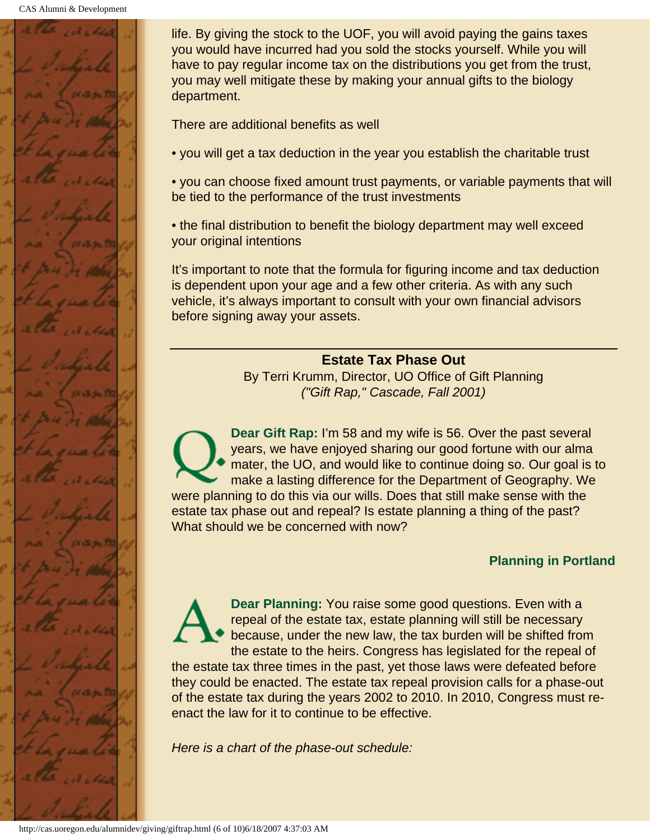![](_page_44_Picture_1.jpeg)

life. By giving the stock to the UOF, you will avoid paying the gains taxes you would have incurred had you sold the stocks yourself. While you will have to pay regular income tax on the distributions you get from the trust, you may well mitigate these by making your annual gifts to the biology department.

There are additional benefits as well

• you will get a tax deduction in the year you establish the charitable trust

• you can choose fixed amount trust payments, or variable payments that will be tied to the performance of the trust investments

• the final distribution to benefit the biology department may well exceed your original intentions

It's important to note that the formula for figuring income and tax deduction is dependent upon your age and a few other criteria. As with any such vehicle, it's always important to consult with your own financial advisors before signing away your assets.

#### **Estate Tax Phase Out**

By Terri Krumm, Director, UO Office of Gift Planning *("Gift Rap," Cascade, Fall 2001)*

<span id="page-44-0"></span>**Dear Gift Rap:** I'm 58 and my wife is 56. Over the past several years, we have enjoyed sharing our good fortune with our alma mater, the UO, and would like to continue doing so. Our goal is to make a lasting difference for the Department of Geography. We were planning to do this via our wills. Does that still make sense with the estate tax phase out and repeal? Is estate planning a thing of the past? What should we be concerned with now?

#### **Planning in Portland**

**Dear Planning:** You raise some good questions. Even with a repeal of the estate tax, estate planning will still be necessary because, under the new law, the tax burden will be shifted from the estate to the heirs. Congress has legislated for the repeal of

the estate tax three times in the past, yet those laws were defeated before they could be enacted. The estate tax repeal provision calls for a phase-out of the estate tax during the years 2002 to 2010. In 2010, Congress must reenact the law for it to continue to be effective.

*Here is a chart of the phase-out schedule:*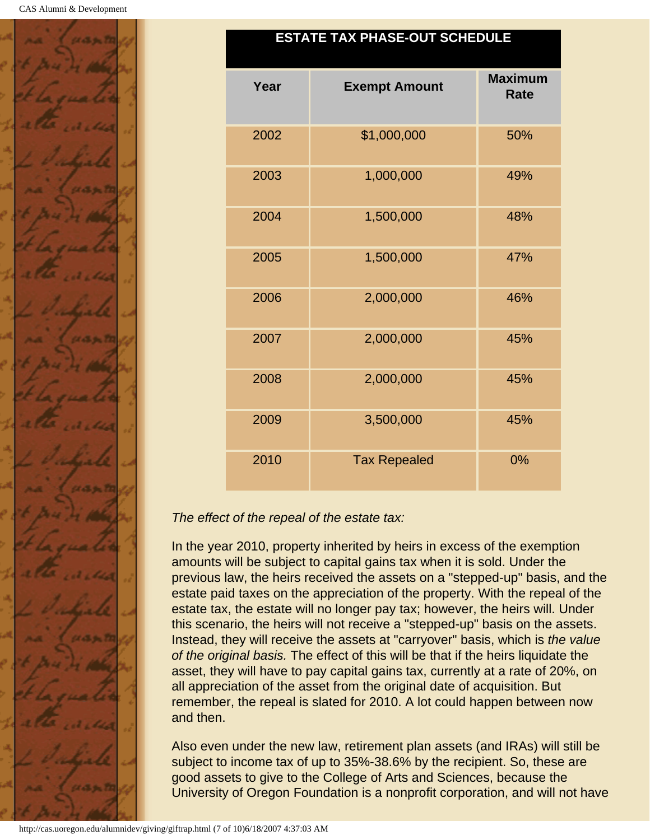![](_page_45_Picture_1.jpeg)

### **ESTATE TAX PHASE-OUT SCHEDULE**

| Year | <b>Exempt Amount</b> | <b>Maximum</b><br><b>Rate</b> |
|------|----------------------|-------------------------------|
| 2002 | \$1,000,000          | 50%                           |
| 2003 | 1,000,000            | 49%                           |
| 2004 | 1,500,000            | 48%                           |
| 2005 | 1,500,000            | 47%                           |
| 2006 | 2,000,000            | 46%                           |
| 2007 | 2,000,000            | 45%                           |
| 2008 | 2,000,000            | 45%                           |
| 2009 | 3,500,000            | 45%                           |
| 2010 | <b>Tax Repealed</b>  | 0%                            |

### *The effect of the repeal of the estate tax:*

In the year 2010, property inherited by heirs in excess of the exemption amounts will be subject to capital gains tax when it is sold. Under the previous law, the heirs received the assets on a "stepped-up" basis, and the estate paid taxes on the appreciation of the property. With the repeal of the estate tax, the estate will no longer pay tax; however, the heirs will. Under this scenario, the heirs will not receive a "stepped-up" basis on the assets. Instead, they will receive the assets at "carryover" basis, which is *the value of the original basis.* The effect of this will be that if the heirs liquidate the asset, they will have to pay capital gains tax, currently at a rate of 20%, on all appreciation of the asset from the original date of acquisition. But remember, the repeal is slated for 2010. A lot could happen between now and then.

Also even under the new law, retirement plan assets (and IRAs) will still be subject to income tax of up to 35%-38.6% by the recipient. So, these are good assets to give to the College of Arts and Sciences, because the University of Oregon Foundation is a nonprofit corporation, and will not have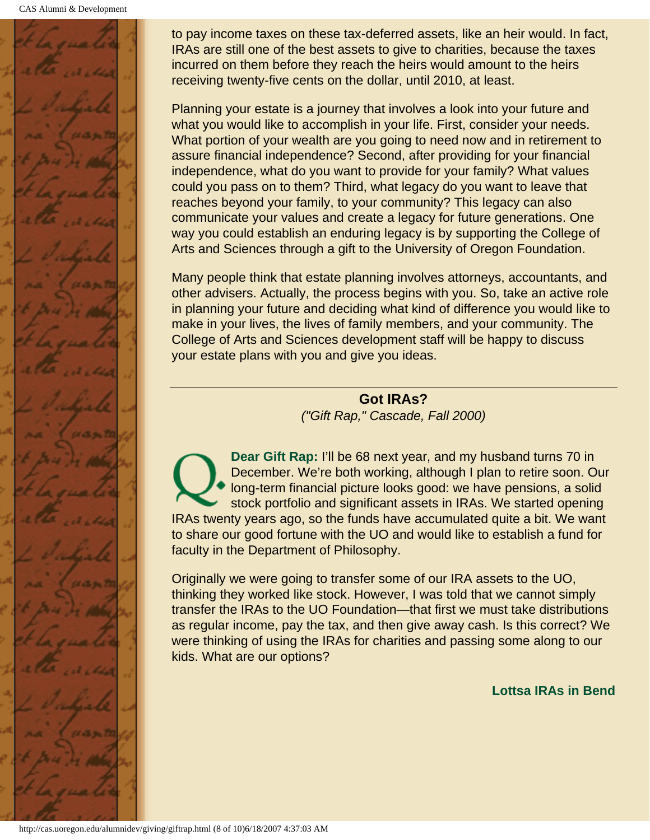CAS Alumni & Development

![](_page_46_Picture_1.jpeg)

to pay income taxes on these tax-deferred assets, like an heir would. In fact, IRAs are still one of the best assets to give to charities, because the taxes incurred on them before they reach the heirs would amount to the heirs receiving twenty-five cents on the dollar, until 2010, at least.

Planning your estate is a journey that involves a look into your future and what you would like to accomplish in your life. First, consider your needs. What portion of your wealth are you going to need now and in retirement to assure financial independence? Second, after providing for your financial independence, what do you want to provide for your family? What values could you pass on to them? Third, what legacy do you want to leave that reaches beyond your family, to your community? This legacy can also communicate your values and create a legacy for future generations. One way you could establish an enduring legacy is by supporting the College of Arts and Sciences through a gift to the University of Oregon Foundation.

Many people think that estate planning involves attorneys, accountants, and other advisers. Actually, the process begins with you. So, take an active role in planning your future and deciding what kind of difference you would like to make in your lives, the lives of family members, and your community. The College of Arts and Sciences development staff will be happy to discuss your estate plans with you and give you ideas.

> **Got IRAs?** *("Gift Rap," Cascade, Fall 2000)*

<span id="page-46-0"></span>**Dear Gift Rap:** I'll be 68 next year, and my husband turns 70 in December. We're both working, although I plan to retire soon. Our long-term financial picture looks good: we have pensions, a solid stock portfolio and significant assets in IRAs. We started opening IRAs twenty years ago, so the funds have accumulated quite a bit. We want to share our good fortune with the UO and would like to establish a fund for faculty in the Department of Philosophy.

Originally we were going to transfer some of our IRA assets to the UO, thinking they worked like stock. However, I was told that we cannot simply transfer the IRAs to the UO Foundation—that first we must take distributions as regular income, pay the tax, and then give away cash. Is this correct? We were thinking of using the IRAs for charities and passing some along to our kids. What are our options?

**Lottsa IRAs in Bend**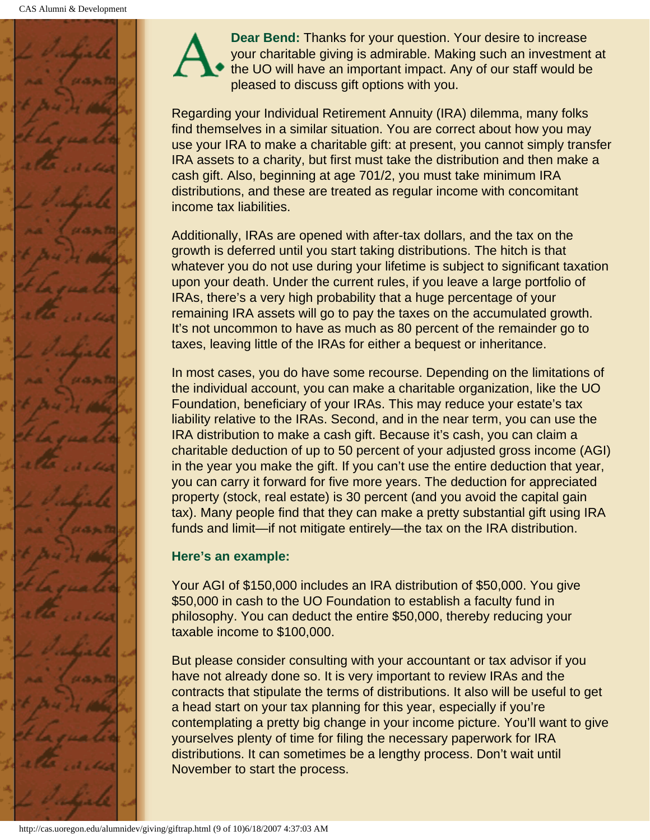![](_page_47_Picture_1.jpeg)

**Dear Bend:** Thanks for your question. Your desire to increase your charitable giving is admirable. Making such an investment at the UO will have an important impact. Any of our staff would be pleased to discuss gift options with you.

Regarding your Individual Retirement Annuity (IRA) dilemma, many folks find themselves in a similar situation. You are correct about how you may use your IRA to make a charitable gift: at present, you cannot simply transfer IRA assets to a charity, but first must take the distribution and then make a cash gift. Also, beginning at age 701/2, you must take minimum IRA distributions, and these are treated as regular income with concomitant income tax liabilities.

Additionally, IRAs are opened with after-tax dollars, and the tax on the growth is deferred until you start taking distributions. The hitch is that whatever you do not use during your lifetime is subject to significant taxation upon your death. Under the current rules, if you leave a large portfolio of IRAs, there's a very high probability that a huge percentage of your remaining IRA assets will go to pay the taxes on the accumulated growth. It's not uncommon to have as much as 80 percent of the remainder go to taxes, leaving little of the IRAs for either a bequest or inheritance.

In most cases, you do have some recourse. Depending on the limitations of the individual account, you can make a charitable organization, like the UO Foundation, beneficiary of your IRAs. This may reduce your estate's tax liability relative to the IRAs. Second, and in the near term, you can use the IRA distribution to make a cash gift. Because it's cash, you can claim a charitable deduction of up to 50 percent of your adjusted gross income (AGI) in the year you make the gift. If you can't use the entire deduction that year, you can carry it forward for five more years. The deduction for appreciated property (stock, real estate) is 30 percent (and you avoid the capital gain tax). Many people find that they can make a pretty substantial gift using IRA funds and limit—if not mitigate entirely—the tax on the IRA distribution.

### **Here's an example:**

Your AGI of \$150,000 includes an IRA distribution of \$50,000. You give \$50,000 in cash to the UO Foundation to establish a faculty fund in philosophy. You can deduct the entire \$50,000, thereby reducing your taxable income to \$100,000.

But please consider consulting with your accountant or tax advisor if you have not already done so. It is very important to review IRAs and the contracts that stipulate the terms of distributions. It also will be useful to get a head start on your tax planning for this year, especially if you're contemplating a pretty big change in your income picture. You'll want to give yourselves plenty of time for filing the necessary paperwork for IRA distributions. It can sometimes be a lengthy process. Don't wait until November to start the process.